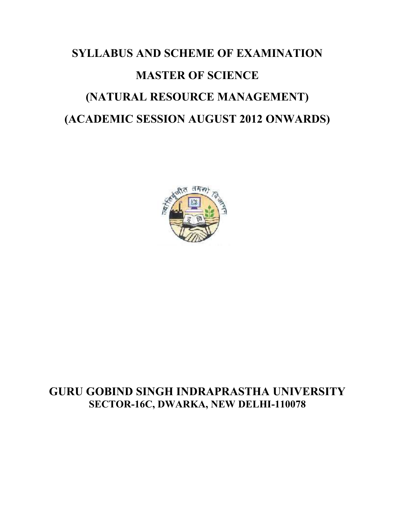# **SYLLABUS AND SCHEME OF EXAMINATION MASTER OF SCIENCE (NATURAL RESOURCE MANAGEMENT) (ACADEMIC SESSION AUGUST 2012 ONWARDS)**



# **GURU GOBIND SINGH INDRAPRASTHA UNIVERSITY SECTOR-16C, DWARKA, NEW DELHI-110078**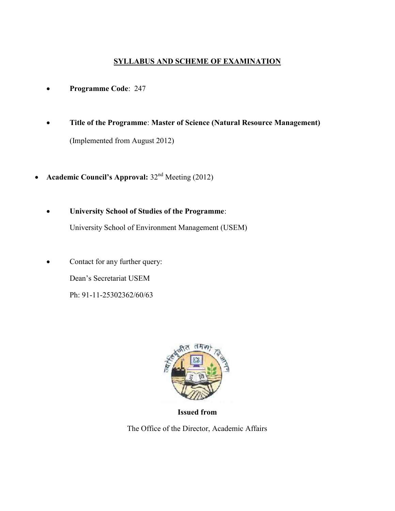## **SYLLABUS AND SCHEME OF EXAMINATION**

- **Programme Code**: 247
- **Title of the Programme**: **Master of Science (Natural Resource Management)** (Implemented from August 2012)
- Academic Council's Approval:  $32<sup>nd</sup>$  Meeting (2012)
	- **University School of Studies of the Programme**:

University School of Environment Management (USEM)

• Contact for any further query: Dean's Secretariat USEM Ph: 91-11-25302362/60/63



**Issued from**

The Office of the Director, Academic Affairs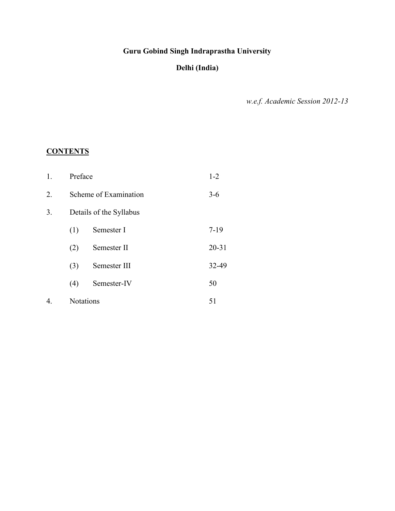## **Guru Gobind Singh Indraprastha University**

## **Delhi (India)**

*w.e.f. Academic Session 2012-13*

## **CONTENTS**

| 1. | Preface   |                         | $1 - 2$   |
|----|-----------|-------------------------|-----------|
| 2. |           | Scheme of Examination   | $3 - 6$   |
| 3. |           | Details of the Syllabus |           |
|    | (1)       | Semester I              | $7-19$    |
|    | (2)       | Semester II             | $20 - 31$ |
|    | (3)       | Semester III            | 32-49     |
|    | (4)       | Semester-IV             | 50        |
| 4. | Notations |                         | 51        |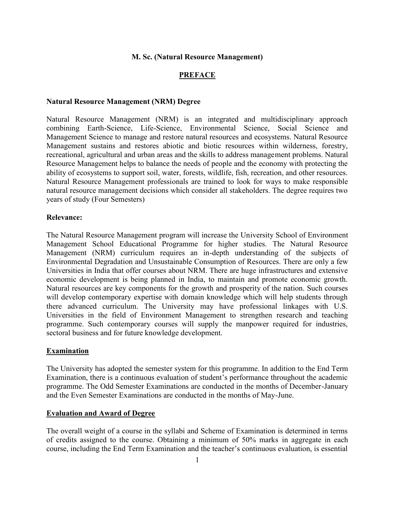#### **M. Sc. (Natural Resource Management)**

#### **PREFACE**

#### **Natural Resource Management (NRM) Degree**

Natural Resource Management (NRM) is an integrated and multidisciplinary approach combining Earth-Science, Life-Science, Environmental Science, Social Science and Management Science to manage and restore natural resources and ecosystems. Natural Resource Management sustains and restores abiotic and biotic resources within wilderness, forestry, recreational, agricultural and urban areas and the skills to address management problems. Natural Resource Management helps to balance the needs of people and the economy with protecting the ability of ecosystems to support soil, water, forests, wildlife, fish, recreation, and other resources. Natural Resource Management professionals are trained to look for ways to make responsible natural resource management decisions which consider all stakeholders. The degree requires two years of study (Four Semesters)

#### **Relevance:**

The Natural Resource Management program will increase the University School of Environment Management School Educational Programme for higher studies. The Natural Resource Management (NRM) curriculum requires an in-depth understanding of the subjects of Environmental Degradation and Unsustainable Consumption of Resources. There are only a few Universities in India that offer courses about NRM. There are huge infrastructures and extensive economic development is being planned in India, to maintain and promote economic growth. Natural resources are key components for the growth and prosperity of the nation. Such courses will develop contemporary expertise with domain knowledge which will help students through there advanced curriculum. The University may have professional linkages with U.S. Universities in the field of Environment Management to strengthen research and teaching programme. Such contemporary courses will supply the manpower required for industries, sectoral business and for future knowledge development.

#### **Examination**

The University has adopted the semester system for this programme. In addition to the End Term Examination, there is a continuous evaluation of student's performance throughout the academic programme. The Odd Semester Examinations are conducted in the months of December-January and the Even Semester Examinations are conducted in the months of May-June.

#### **Evaluation and Award of Degree**

The overall weight of a course in the syllabi and Scheme of Examination is determined in terms of credits assigned to the course. Obtaining a minimum of 50% marks in aggregate in each course, including the End Term Examination and the teacher's continuous evaluation, is essential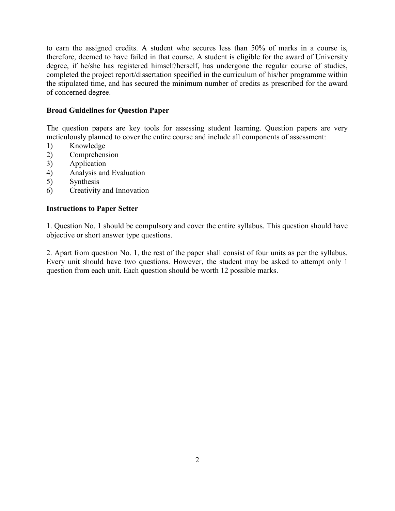to earn the assigned credits. A student who secures less than 50% of marks in a course is, therefore, deemed to have failed in that course. A student is eligible for the award of University degree, if he/she has registered himself/herself, has undergone the regular course of studies, completed the project report/dissertation specified in the curriculum of his/her programme within the stipulated time, and has secured the minimum number of credits as prescribed for the award of concerned degree.

#### **Broad Guidelines for Question Paper**

The question papers are key tools for assessing student learning. Question papers are very meticulously planned to cover the entire course and include all components of assessment:

- 1) Knowledge
- 2) Comprehension
- 3) Application
- 4) Analysis and Evaluation
- 5) Synthesis
- 6) Creativity and Innovation

#### **Instructions to Paper Setter**

1. Question No. 1 should be compulsory and cover the entire syllabus. This question should have objective or short answer type questions.

2. Apart from question No. 1, the rest of the paper shall consist of four units as per the syllabus. Every unit should have two questions. However, the student may be asked to attempt only 1 question from each unit. Each question should be worth 12 possible marks.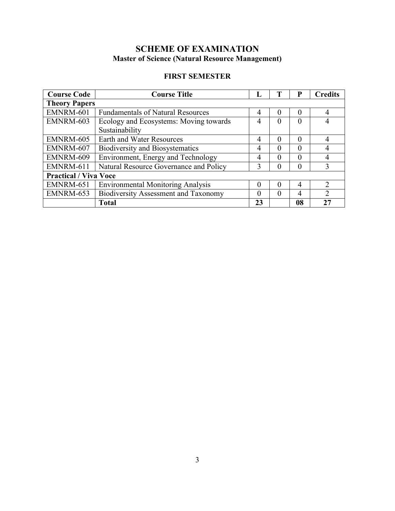## **SCHEME OF EXAMINATION Master of Science (Natural Resource Management)**

## **FIRST SEMESTER**

| <b>Course Code</b>           | <b>Course Title</b>                              |                | P                | <b>Credits</b> |               |
|------------------------------|--------------------------------------------------|----------------|------------------|----------------|---------------|
| <b>Theory Papers</b>         |                                                  |                |                  |                |               |
| EMNRM-601                    | <b>Fundamentals of Natural Resources</b>         | $\overline{4}$ | $\left( \right)$ | 0              | 4             |
| EMNRM-603                    | Ecology and Ecosystems: Moving towards           | 4              | $\Omega$         | $\theta$       | 4             |
|                              | Sustainability                                   |                |                  |                |               |
| EMNRM-605                    | <b>Earth and Water Resources</b>                 | $\overline{4}$ | $\Omega$         | $\Omega$       | 4             |
| EMNRM-607                    | <b>Biodiversity and Biosystematics</b>           | 4<br>$\Omega$  |                  | $\Omega$       | 4             |
| EMNRM-609                    | Environment, Energy and Technology               | 4              | $\theta$         | $\Omega$       | 4             |
| EMNRM-611                    | Natural Resource Governance and Policy<br>3<br>0 |                |                  |                | 3             |
| <b>Practical / Viva Voce</b> |                                                  |                |                  |                |               |
| EMNRM-651                    | <b>Environmental Monitoring Analysis</b>         | $\theta$       | $\left( \right)$ | 4              | 2             |
| EMNRM-653                    | <b>Biodiversity Assessment and Taxonomy</b>      | $\Omega$       | $\Omega$         | 4              | $\mathcal{D}$ |
|                              | <b>Total</b>                                     | 23             |                  | 08             | 27            |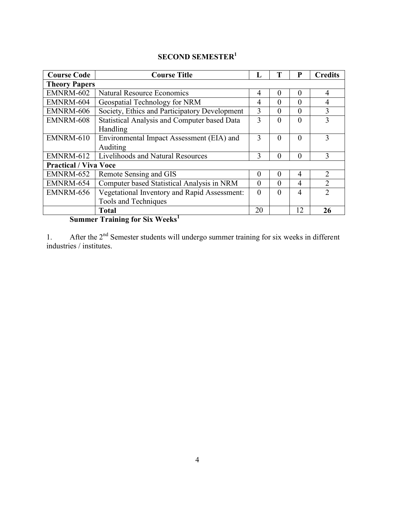| <b>Course Code</b>           | <b>Course Title</b>                               |                                        | T        | P              | <b>Credits</b> |
|------------------------------|---------------------------------------------------|----------------------------------------|----------|----------------|----------------|
| <b>Theory Papers</b>         |                                                   |                                        |          |                |                |
| EMNRM-602                    | <b>Natural Resource Economics</b>                 | $\overline{4}$                         | $\Omega$ | $\Omega$       | $\overline{4}$ |
| EMNRM-604                    | Geospatial Technology for NRM                     | 4                                      | 0        | $\Omega$       | 4              |
| EMNRM-606                    | Society, Ethics and Participatory Development     | 3                                      | $\Omega$ | $\theta$       | 3              |
| EMNRM-608                    | Statistical Analysis and Computer based Data<br>3 |                                        |          |                | 3              |
|                              | Handling                                          |                                        |          |                |                |
| EMNRM-610                    | Environmental Impact Assessment (EIA) and         | 3                                      | $\Omega$ | $\Omega$       | 3              |
|                              | Auditing                                          |                                        |          |                |                |
| EMNRM-612                    | Livelihoods and Natural Resources                 | 3                                      | $\Omega$ | $\Omega$       | $\mathbf 3$    |
| <b>Practical / Viva Voce</b> |                                                   |                                        |          |                |                |
| EMNRM-652                    | Remote Sensing and GIS                            | $\Omega$                               | $\Omega$ | $\overline{4}$ | $\overline{2}$ |
| EMNRM-654                    | Computer based Statistical Analysis in NRM        | $\overline{4}$<br>$\Omega$<br>$\Omega$ |          |                | $\overline{2}$ |
| EMNRM-656                    | Vegetational Inventory and Rapid Assessment:      | $\theta$<br>$\Omega$<br>$\overline{4}$ |          | $\mathcal{D}$  |                |
|                              | Tools and Techniques                              |                                        |          |                |                |
|                              | <b>Total</b>                                      | 20                                     |          | 12             | 26             |

**Summer Training for Six Weeks<sup>1</sup>**

1. After the 2<sup>nd</sup> Semester students will undergo summer training for six weeks in different industries / institutes.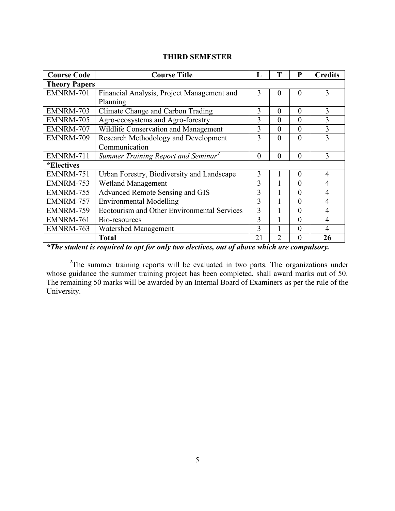| <b>THIRD SEMESTER</b> |  |
|-----------------------|--|
| re a                  |  |

| <b>Course Code</b>   | <b>Course Title</b>                             | L             | T        | P              | <b>Credits</b> |
|----------------------|-------------------------------------------------|---------------|----------|----------------|----------------|
| <b>Theory Papers</b> |                                                 |               |          |                |                |
| EMNRM-701            | Financial Analysis, Project Management and      | 3<br>$\theta$ |          |                |                |
|                      | Planning                                        |               |          |                |                |
| EMNRM-703            | Climate Change and Carbon Trading               | 3             | $\theta$ | $\theta$       | 3              |
| EMNRM-705            | Agro-ecosystems and Agro-forestry               | 3             | $\theta$ | $\theta$       | $\overline{3}$ |
| EMNRM-707            | Wildlife Conservation and Management            | 3             | $\theta$ | $\theta$       | 3              |
| EMNRM-709            | 3                                               | $\theta$      | $\theta$ | $\overline{3}$ |                |
|                      | Communication                                   |               |          |                |                |
| EMNRM-711            | Summer Training Report and Seminar <sup>2</sup> | $\theta$      | $\theta$ | $\theta$       | 3              |
| <i>*Electives</i>    |                                                 |               |          |                |                |
| EMNRM-751            | Urban Forestry, Biodiversity and Landscape      | 3             |          | $\theta$       | $\overline{4}$ |
| EMNRM-753            | <b>Wetland Management</b>                       | 3             |          | $\theta$       | 4              |
| EMNRM-755            | Advanced Remote Sensing and GIS                 | 3             |          | $\theta$       | $\overline{4}$ |
| EMNRM-757            | <b>Environmental Modelling</b>                  | 3             |          | $\theta$       | $\overline{4}$ |
| EMNRM-759            | Ecotourism and Other Environmental Services     | 3             |          | $\theta$       | $\overline{4}$ |
| EMNRM-761            | 3<br>Bio-resources                              |               |          | $\theta$       | $\overline{4}$ |
| EMNRM-763            | <b>Watershed Management</b>                     | 3             |          | $\theta$       | $\overline{4}$ |
|                      | <b>Total</b>                                    | 21            | 2        | $\theta$       | 26             |

*\*The student is required to opt for only two electives, out of above which are compulsory.*

<sup>2</sup>The summer training reports will be evaluated in two parts. The organizations under whose guidance the summer training project has been completed, shall award marks out of 50. The remaining 50 marks will be awarded by an Internal Board of Examiners as per the rule of the University.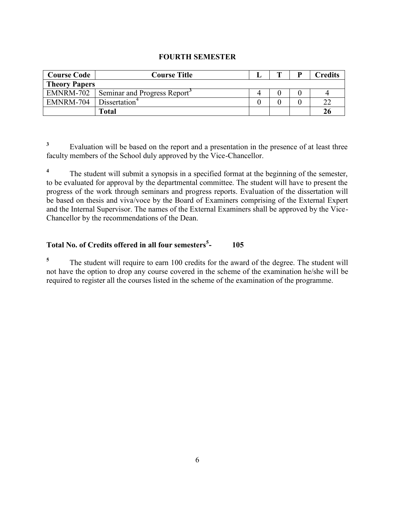## **FOURTH SEMESTER**

| <b>Course Code</b>   | <b>Course Title</b>                      |  | <b>Credits</b> |
|----------------------|------------------------------------------|--|----------------|
| <b>Theory Papers</b> |                                          |  |                |
| EMNRM-702            | Seminar and Progress Report <sup>3</sup> |  |                |
| EMNRM-704            | Dissertation <sup>4</sup>                |  | 22             |
|                      | <b>Total</b>                             |  | 26             |

**3** Evaluation will be based on the report and a presentation in the presence of at least three faculty members of the School duly approved by the Vice-Chancellor.

**4** The student will submit a synopsis in a specified format at the beginning of the semester, to be evaluated for approval by the departmental committee. The student will have to present the progress of the work through seminars and progress reports. Evaluation of the dissertation will be based on thesis and viva/voce by the Board of Examiners comprising of the External Expert and the Internal Supervisor. The names of the External Examiners shall be approved by the Vice-Chancellor by the recommendations of the Dean.

#### **Total No. of Credits offered in all four semesters<sup>5</sup> - 105**

**5** The student will require to earn 100 credits for the award of the degree. The student will not have the option to drop any course covered in the scheme of the examination he/she will be required to register all the courses listed in the scheme of the examination of the programme.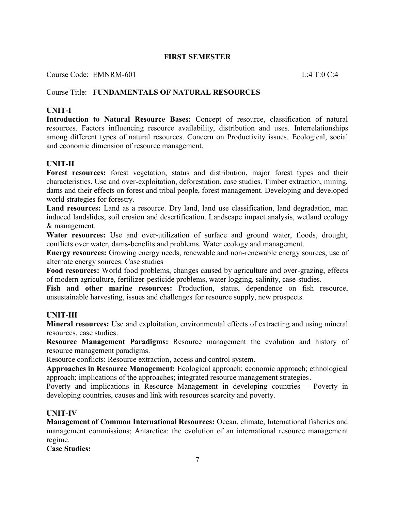## **FIRST SEMESTER**

Course Code: EMNRM-601 L:4 T:0 C:4

## Course Title: **FUNDAMENTALS OF NATURAL RESOURCES**

## **UNIT-I**

**Introduction to Natural Resource Bases:** Concept of resource, classification of natural resources. Factors influencing resource availability, distribution and uses. Interrelationships among different types of natural resources. Concern on Productivity issues. Ecological, social and economic dimension of resource management.

#### **UNIT-II**

**Forest resources:** forest vegetation, status and distribution, major forest types and their characteristics. Use and over-exploitation, deforestation, case studies. Timber extraction, mining, dams and their effects on forest and tribal people, forest management. Developing and developed world strategies for forestry.

**Land resources:** Land as a resource. Dry land, land use classification, land degradation, man induced landslides, soil erosion and desertification. Landscape impact analysis, wetland ecology & management.

**Water resources:** Use and over-utilization of surface and ground water, floods, drought, conflicts over water, dams-benefits and problems. Water ecology and management.

**Energy resources:** Growing energy needs, renewable and non-renewable energy sources, use of alternate energy sources. Case studies

**Food resources:** World food problems, changes caused by agriculture and over-grazing, effects of modern agriculture, fertilizer-pesticide problems, water logging, salinity, case-studies.

Fish and other marine resources: Production, status, dependence on fish resource, unsustainable harvesting, issues and challenges for resource supply, new prospects.

#### **UNIT-III**

**Mineral resources:** Use and exploitation, environmental effects of extracting and using mineral resources, case studies.

**Resource Management Paradigms:** Resource management the evolution and history of resource management paradigms.

Resource conflicts: Resource extraction, access and control system.

**Approaches in Resource Management:** Ecological approach; economic approach; ethnological approach; implications of the approaches; integrated resource management strategies.

Poverty and implications in Resource Management in developing countries – Poverty in developing countries, causes and link with resources scarcity and poverty.

## **UNIT-IV**

**Management of Common International Resources:** Ocean, climate, International fisheries and management commissions; Antarctica: the evolution of an international resource management regime.

#### **Case Studies:**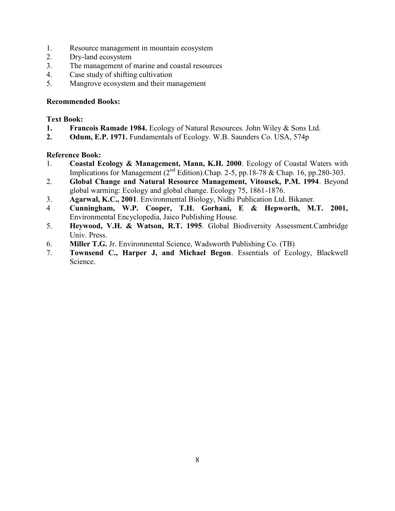- 1. Resource management in mountain ecosystem
- 2. Dry-land ecosystem
- 3. The management of marine and coastal resources
- 4. Case study of shifting cultivation
- 5. Mangrove ecosystem and their management

## **Recommended Books:**

## **Text Book:**

- **1. Francois Ramade 1984.** Ecology of Natural Resources. John Wiley & Sons Ltd.
- **2. Odum, E.P. 1971.** Fundamentals of Ecology. W.B. Saunders Co. USA, 574p

- 1. **Coastal Ecology & Management, Mann, K.H. 2000**. Ecology of Coastal Waters with Implications for Management  $(2^{nd}$  Edition).Chap. 2-5, pp.18-78 & Chap. 16, pp.280-303.
- 2. **Global Change and Natural Resource Management, Vitousek, P.M. 1994**. Beyond global warming: Ecology and global change. Ecology 75, 1861-1876.
- 3. **Agarwal, K.C., 2001**. Environmental Biology, Nidhi Publication Ltd. Bikaner.
- 4 **Cunningham, W.P. Cooper, T.H. Gorhani, E & Hepworth, M.T. 2001,** Environmental Encyclopedia, Jaico Publishing House.
- 5. **Heywood, V.H. & Watson, R.T. 1995**. Global Biodiversity Assessment.Cambridge Univ. Press.
- 6. **Miller T.G.** Jr. Environmental Science, Wadsworth Publishing Co. (TB)
- 7. **Townsend C., Harper J, and Michael Begon**. Essentials of Ecology, Blackwell Science.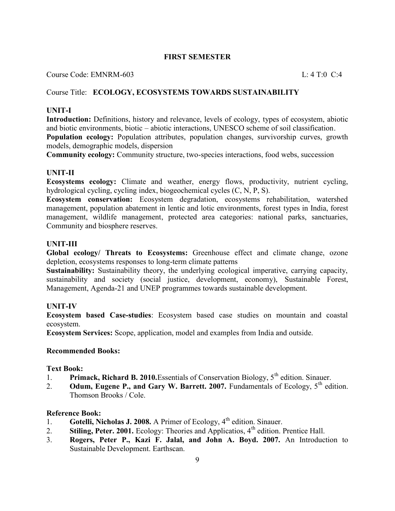## **FIRST SEMESTER**

Course Code: EMNRM-603 L: 4 T:0 C:4

## Course Title: **ECOLOGY, ECOSYSTEMS TOWARDS SUSTAINABILITY**

#### **UNIT-I**

**Introduction:** Definitions, history and relevance, levels of ecology, types of ecosystem, abiotic and biotic environments, biotic – abiotic interactions, UNESCO scheme of soil classification. **Population ecology:** Population attributes, population changes, survivorship curves, growth models, demographic models, dispersion

**Community ecology:** Community structure, two-species interactions, food webs, succession

#### **UNIT-II**

**Ecosystems ecology:** Climate and weather, energy flows, productivity, nutrient cycling, hydrological cycling, cycling index, biogeochemical cycles (C, N, P, S).

**Ecosystem conservation:** Ecosystem degradation, ecosystems rehabilitation, watershed management, population abatement in lentic and lotic environments, forest types in India, forest management, wildlife management, protected area categories: national parks, sanctuaries, Community and biosphere reserves.

#### **UNIT-III**

**Global ecology/ Threats to Ecosystems:** Greenhouse effect and climate change, ozone depletion, ecosystems responses to long-term climate patterns

**Sustainability:** Sustainability theory, the underlying ecological imperative, carrying capacity, sustainability and society (social justice, development, economy), Sustainable Forest, Management, Agenda-21 and UNEP programmes towards sustainable development.

#### **UNIT-IV**

**Ecosystem based Case-studies**: Ecosystem based case studies on mountain and coastal ecosystem.

**Ecosystem Services:** Scope, application, model and examples from India and outside.

#### **Recommended Books:**

#### **Text Book:**

- 1. **Primack, Richard B. 2010.** Essentials of Conservation Biology, 5<sup>th</sup> edition. Sinauer.
- 2. **Odum, Eugene P., and Gary W. Barrett. 2007.** Fundamentals of Ecology,  $5<sup>th</sup>$  edition. Thomson Brooks / Cole.

- 1. **Gotelli, Nicholas J. 2008.** A Primer of Ecology, 4<sup>th</sup> edition. Sinauer.
- 2. **Stiling, Peter. 2001.** Ecology: Theories and Applicatios, 4<sup>th</sup> edition. Prentice Hall.
- 3. **Rogers, Peter P., Kazi F. Jalal, and John A. Boyd. 2007.** An Introduction to Sustainable Development. Earthscan.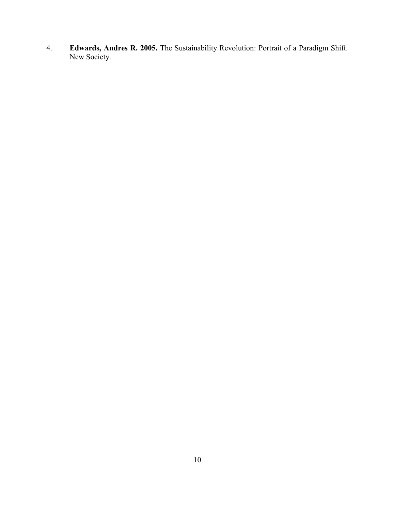4. **Edwards, Andres R. 2005.** The Sustainability Revolution: Portrait of a Paradigm Shift. New Society.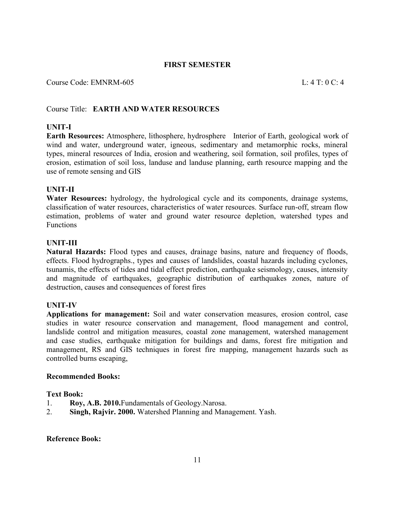#### **FIRST SEMESTER**

#### Course Code: EMNRM-605 L: 4 T: 0 C: 4

#### Course Title: **EARTH AND WATER RESOURCES**

#### **UNIT-I**

**Earth Resources:** Atmosphere, lithosphere, hydrosphere Interior of Earth, geological work of wind and water, underground water, igneous, sedimentary and metamorphic rocks, mineral types, mineral resources of India, erosion and weathering, soil formation, soil profiles, types of erosion, estimation of soil loss, landuse and landuse planning, earth resource mapping and the use of remote sensing and GIS

#### **UNIT-II**

**Water Resources:** hydrology, the hydrological cycle and its components, drainage systems, classification of water resources, characteristics of water resources. Surface run-off, stream flow estimation, problems of water and ground water resource depletion, watershed types and Functions

#### **UNIT-III**

**Natural Hazards:** Flood types and causes, drainage basins, nature and frequency of floods, effects. Flood hydrographs., types and causes of landslides, coastal hazards including cyclones, tsunamis, the effects of tides and tidal effect prediction, earthquake seismology, causes, intensity and magnitude of earthquakes, geographic distribution of earthquakes zones, nature of destruction, causes and consequences of forest fires

#### **UNIT-IV**

**Applications for management:** Soil and water conservation measures, erosion control, case studies in water resource conservation and management, flood management and control, landslide control and mitigation measures, coastal zone management, watershed management and case studies, earthquake mitigation for buildings and dams, forest fire mitigation and management, RS and GIS techniques in forest fire mapping, management hazards such as controlled burns escaping,

#### **Recommended Books:**

#### **Text Book:**

- 1. **Roy, A.B. 2010.**Fundamentals of Geology.Narosa.
- 2. **Singh, Rajvir. 2000.** Watershed Planning and Management. Yash.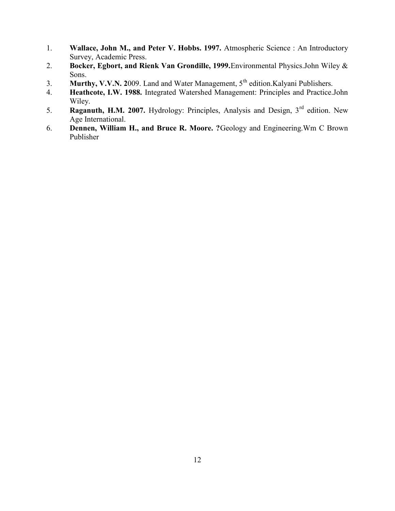- 1. **Wallace, John M., and Peter V. Hobbs. 1997.** Atmospheric Science : An Introductory Survey, Academic Press.
- 2. **Bocker, Egbort, and Rienk Van Grondille, 1999.**Environmental Physics.John Wiley & Sons.
- 3. **Murthy, V.V.N. 2009**. Land and Water Management, 5<sup>th</sup> edition.Kalyani Publishers.
- 4. **Heathcote, I.W. 1988.** Integrated Watershed Management: Principles and Practice.John Wiley.
- 5. **Raganuth, H.M. 2007.** Hydrology: Principles, Analysis and Design, 3rd edition. New Age International.
- 6. **Dennen, William H., and Bruce R. Moore. ?**Geology and Engineering.Wm C Brown Publisher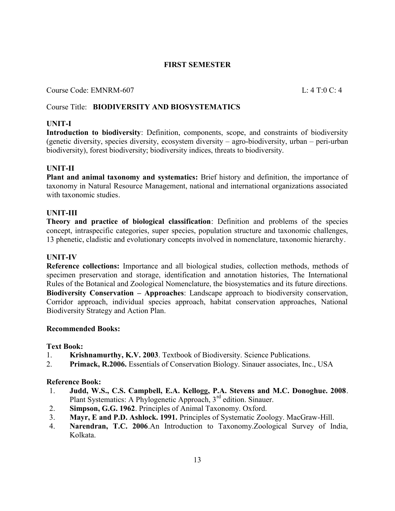## **FIRST SEMESTER**

Course Code: EMNRM-607 L: 4 T:0 C: 4

## Course Title: **BIODIVERSITY AND BIOSYSTEMATICS**

## **UNIT-I**

**Introduction to biodiversity**: Definition, components, scope, and constraints of biodiversity (genetic diversity, species diversity, ecosystem diversity – agro-biodiversity, urban – peri-urban biodiversity), forest biodiversity; biodiversity indices, threats to biodiversity.

## **UNIT-II**

**Plant and animal taxonomy and systematics:** Brief history and definition, the importance of taxonomy in Natural Resource Management, national and international organizations associated with taxonomic studies.

## **UNIT-III**

**Theory and practice of biological classification**: Definition and problems of the species concept, intraspecific categories, super species, population structure and taxonomic challenges, 13 phenetic, cladistic and evolutionary concepts involved in nomenclature, taxonomic hierarchy.

## **UNIT-IV**

**Reference collections:** Importance and all biological studies, collection methods, methods of specimen preservation and storage, identification and annotation histories, The International Rules of the Botanical and Zoological Nomenclature, the biosystematics and its future directions. **Biodiversity Conservation – Approaches**: Landscape approach to biodiversity conservation, Corridor approach, individual species approach, habitat conservation approaches, National Biodiversity Strategy and Action Plan.

## **Recommended Books:**

## **Text Book:**

- 1. **Krishnamurthy, K.V. 2003**. Textbook of Biodiversity. Science Publications.
- 2. **Primack, R.2006.** Essentials of Conservation Biology. Sinauer associates, Inc., USA

- 1. **Judd, W.S., C.S. Campbell, E.A. Kellogg, P.A. Stevens and M.C. Donoghue. 2008**. Plant Systematics: A Phylogenetic Approach, 3<sup>rd</sup> edition. Sinauer.
- 2. **Simpson, G.G. 1962**. Principles of Animal Taxonomy. Oxford.
- 3. **Mayr, E and P.D. Ashlock. 1991.** Principles of Systematic Zoology. MacGraw-Hill.
- 4. **Narendran, T.C. 2006**.An Introduction to Taxonomy.Zoological Survey of India, Kolkata.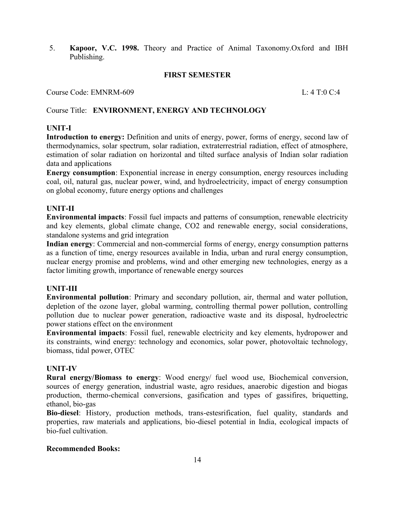5. **Kapoor, V.C. 1998.** Theory and Practice of Animal Taxonomy.Oxford and IBH Publishing.

#### **FIRST SEMESTER**

Course Code: EMNRM-609 L: 4 T:0 C:4

## Course Title: **ENVIRONMENT, ENERGY AND TECHNOLOGY**

## **UNIT-I**

**Introduction to energy:** Definition and units of energy, power, forms of energy, second law of thermodynamics, solar spectrum, solar radiation, extraterrestrial radiation, effect of atmosphere, estimation of solar radiation on horizontal and tilted surface analysis of Indian solar radiation data and applications

**Energy consumption**: Exponential increase in energy consumption, energy resources including coal, oil, natural gas, nuclear power, wind, and hydroelectricity, impact of energy consumption on global economy, future energy options and challenges

## **UNIT-II**

**Environmental impacts**: Fossil fuel impacts and patterns of consumption, renewable electricity and key elements, global climate change, CO2 and renewable energy, social considerations, standalone systems and grid integration

**Indian energy**: Commercial and non-commercial forms of energy, energy consumption patterns as a function of time, energy resources available in India, urban and rural energy consumption, nuclear energy promise and problems, wind and other emerging new technologies, energy as a factor limiting growth, importance of renewable energy sources

#### **UNIT-III**

**Environmental pollution**: Primary and secondary pollution, air, thermal and water pollution, depletion of the ozone layer, global warming, controlling thermal power pollution, controlling pollution due to nuclear power generation, radioactive waste and its disposal, hydroelectric power stations effect on the environment

**Environmental impacts**: Fossil fuel, renewable electricity and key elements, hydropower and its constraints, wind energy: technology and economics, solar power, photovoltaic technology, biomass, tidal power, OTEC

#### **UNIT-IV**

**Rural energy/Biomass to energy**: Wood energy/ fuel wood use, Biochemical conversion, sources of energy generation, industrial waste, agro residues, anaerobic digestion and biogas production, thermo-chemical conversions, gasification and types of gassifires, briquetting, ethanol, bio-gas

**Bio-diesel**: History, production methods, trans-estesrification, fuel quality, standards and properties, raw materials and applications, bio-diesel potential in India, ecological impacts of bio-fuel cultivation.

#### **Recommended Books:**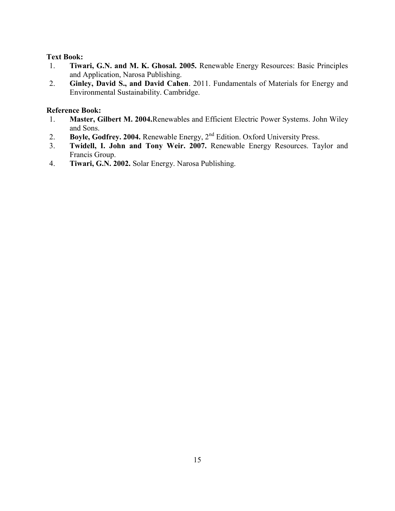## **Text Book:**

- 1. **Tiwari, G.N. and M. K. Ghosal. 2005.** Renewable Energy Resources: Basic Principles and Application, Narosa Publishing.
- 2. **Ginley, David S., and David Cahen**. 2011. Fundamentals of Materials for Energy and Environmental Sustainability. Cambridge.

- 1. **Master, Gilbert M. 2004.**Renewables and Efficient Electric Power Systems. John Wiley and Sons.
- 2. **Boyle, Godfrey. 2004.** Renewable Energy, 2<sup>nd</sup> Edition. Oxford University Press.
- 3. **Twidell, I. John and Tony Weir. 2007.** Renewable Energy Resources. Taylor and Francis Group.
- 4. **Tiwari, G.N. 2002.** Solar Energy. Narosa Publishing.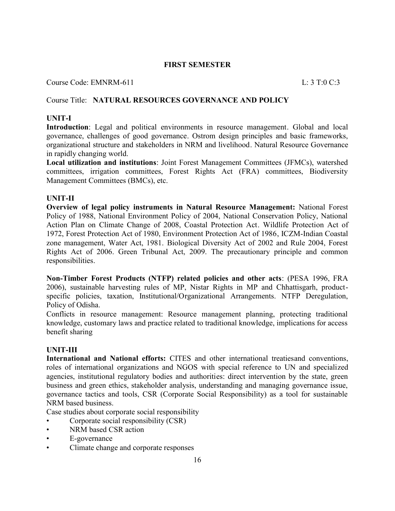#### **FIRST SEMESTER**

Course Code: EMNRM-611 L: 3 T:0 C:3

## Course Title: **NATURAL RESOURCES GOVERNANCE AND POLICY**

#### **UNIT-I**

**Introduction**: Legal and political environments in resource management. Global and local governance, challenges of good governance. Ostrom design principles and basic frameworks, organizational structure and stakeholders in NRM and livelihood. Natural Resource Governance in rapidly changing world.

**Local utilization and institutions**: Joint Forest Management Committees (JFMCs), watershed committees, irrigation committees, Forest Rights Act (FRA) committees, Biodiversity Management Committees (BMCs), etc.

#### **UNIT-II**

**Overview of legal policy instruments in Natural Resource Management:** National Forest Policy of 1988, National Environment Policy of 2004, National Conservation Policy, National Action Plan on Climate Change of 2008, Coastal Protection Act. Wildlife Protection Act of 1972, Forest Protection Act of 1980, Environment Protection Act of 1986, ICZM-Indian Coastal zone management, Water Act, 1981. Biological Diversity Act of 2002 and Rule 2004, Forest Rights Act of 2006. Green Tribunal Act, 2009. The precautionary principle and common responsibilities.

**Non-Timber Forest Products (NTFP) related policies and other acts**: (PESA 1996, FRA 2006), sustainable harvesting rules of MP, Nistar Rights in MP and Chhattisgarh, productspecific policies, taxation, Institutional/Organizational Arrangements. NTFP Deregulation, Policy of Odisha.

Conflicts in resource management: Resource management planning, protecting traditional knowledge, customary laws and practice related to traditional knowledge, implications for access benefit sharing

#### **UNIT-III**

**International and National efforts:** CITES and other international treatiesand conventions, roles of international organizations and NGOS with special reference to UN and specialized agencies, institutional regulatory bodies and authorities: direct intervention by the state, green business and green ethics, stakeholder analysis, understanding and managing governance issue, governance tactics and tools, CSR (Corporate Social Responsibility) as a tool for sustainable NRM based business.

Case studies about corporate social responsibility

- Corporate social responsibility (CSR)
- NRM based CSR action
- E-governance
- Climate change and corporate responses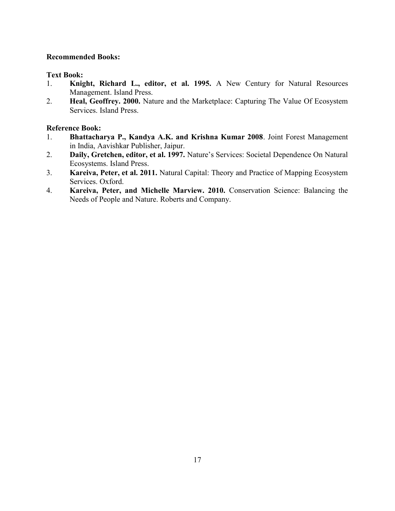## **Recommended Books:**

## **Text Book:**

- 1. **Knight, Richard L., editor, et al. 1995.** A New Century for Natural Resources Management. Island Press.
- 2. **Heal, Geoffrey. 2000.** Nature and the Marketplace: Capturing The Value Of Ecosystem Services. Island Press.

- 1. **Bhattacharya P., Kandya A.K. and Krishna Kumar 2008**. Joint Forest Management in India, Aavishkar Publisher, Jaipur.
- 2. **Daily, Gretchen, editor, et al. 1997.** Nature's Services: Societal Dependence On Natural Ecosystems. Island Press.
- 3. **Kareiva, Peter, et al. 2011.** Natural Capital: Theory and Practice of Mapping Ecosystem Services. Oxford.
- 4. **Kareiva, Peter, and Michelle Marview. 2010.** Conservation Science: Balancing the Needs of People and Nature. Roberts and Company.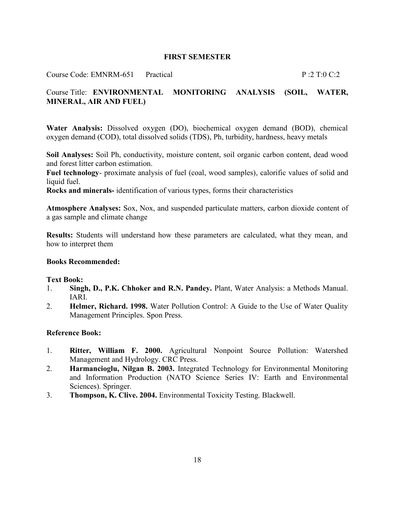#### **FIRST SEMESTER**

Course Code: EMNRM-651 Practical P :2 T:0 C:2

## Course Title: **ENVIRONMENTAL MONITORING ANALYSIS (SOIL, WATER, MINERAL, AIR AND FUEL)**

**Water Analysis:** Dissolved oxygen (DO), biochemical oxygen demand (BOD), chemical oxygen demand (COD), total dissolved solids (TDS), Ph, turbidity, hardness, heavy metals

**Soil Analyses:** Soil Ph, conductivity, moisture content, soil organic carbon content, dead wood and forest litter carbon estimation.

**Fuel technology**- proximate analysis of fuel (coal, wood samples), calorific values of solid and liquid fuel.

**Rocks and minerals-** identification of various types, forms their characteristics

**Atmosphere Analyses:** Sox, Nox, and suspended particulate matters, carbon dioxide content of a gas sample and climate change

**Results:** Students will understand how these parameters are calculated, what they mean, and how to interpret them

#### **Books Recommended:**

#### **Text Book:**

- 1. **Singh, D., P.K. Chhoker and R.N. Pandey.** Plant, Water Analysis: a Methods Manual. IARI.
- 2. **Helmer, Richard. 1998.** Water Pollution Control: A Guide to the Use of Water Quality Management Principles. Spon Press.

- 1. **Ritter, William F. 2000.** Agricultural Nonpoint Source Pollution: Watershed Management and Hydrology. CRC Press.
- 2. **Harmancioglu, Nilgan B. 2003.** Integrated Technology for Environmental Monitoring and Information Production (NATO Science Series IV: Earth and Environmental Sciences). Springer.
- 3. **Thompson, K. Clive. 2004.** Environmental Toxicity Testing. Blackwell.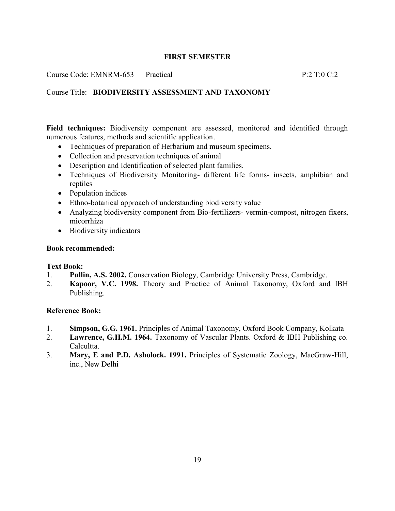## **FIRST SEMESTER**

Course Code: EMNRM-653 Practical P:2 T:0 C:2

## Course Title: **BIODIVERSITY ASSESSMENT AND TAXONOMY**

**Field techniques:** Biodiversity component are assessed, monitored and identified through numerous features, methods and scientific application.

- Techniques of preparation of Herbarium and museum specimens.
- Collection and preservation techniques of animal
- Description and Identification of selected plant families.
- Techniques of Biodiversity Monitoring- different life forms- insects, amphibian and reptiles
- Population indices
- Ethno-botanical approach of understanding biodiversity value
- Analyzing biodiversity component from Bio-fertilizers- vermin-compost, nitrogen fixers, micorrhiza
- Biodiversity indicators

#### **Book recommended:**

#### **Text Book:**

- 1. **Pullin, A.S. 2002.** Conservation Biology, Cambridge University Press, Cambridge.
- 2. **Kapoor, V.C. 1998.** Theory and Practice of Animal Taxonomy, Oxford and IBH Publishing.

- 1. **Simpson, G.G. 1961.** Principles of Animal Taxonomy, Oxford Book Company, Kolkata
- 2. **Lawrence, G.H.M. 1964.** Taxonomy of Vascular Plants. Oxford & IBH Publishing co. Calcultta.
- 3. **Mary, E and P.D. Asholock. 1991.** Principles of Systematic Zoology, MacGraw-Hill, inc., New Delhi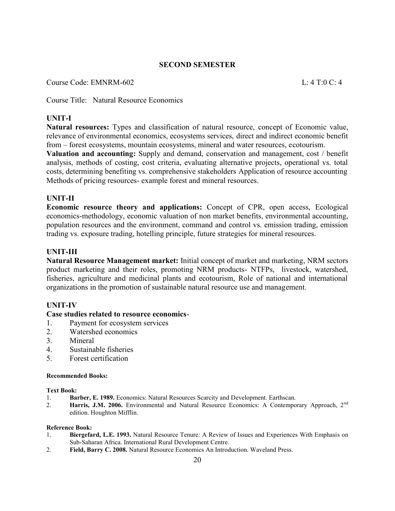Course Code: EMNRM-602 L: 4 T:0 C: 4

Course Title: Natural Resource Economics

## **UNIT-I**

**Natural resources:** Types and classification of natural resource, concept of Economic value, relevance of environmental economics, ecosystems services, direct and indirect economic benefit from – forest ecosystems, mountain ecosystems, mineral and water resources, ecotourism.

**Valuation and accounting:** Supply and demand, conservation and management, cost / benefit analysis, methods of costing, cost criteria, evaluating alternative projects, operational vs. total costs, determining benefiting vs. comprehensive stakeholders Application of resource accounting Methods of pricing resources- example forest and mineral resources.

#### **UNIT-II**

**Economic resource theory and applications:** Concept of CPR, open access, Ecological economics-methodology, economic valuation of non market benefits, environmental accounting, population resources and the environment, command and control vs. emission trading, emission trading vs. exposure trading, hotelling principle, future strategies for mineral resources.

#### **UNIT-III**

**Natural Resource Management market:** Initial concept of market and marketing, NRM sectors product marketing and their roles, promoting NRM products- NTFPs, livestock, watershed, fisheries, agriculture and medicinal plants and ecotourism, Role of national and international organizations in the promotion of sustainable natural resource use and management.

#### **UNIT-IV**

#### **Case studies related to resource economics**-

- 1. Payment for ecosystem services
- 2. Watershed economics
- 3. Mineral
- 4. Sustainable fisheries
- 5. Forest certification

#### **Recommended Books:**

#### **Text Book:**

- 1. **Barber, E. 1989.** Economics: Natural Resources Scarcity and Development. Earthscan.
- 2. **Harris, J.M. 2006.** Environmental and Natural Resource Economics: A Contemporary Approach, 2<sup>nd</sup> edition. Houghton Mifflin.

- 1. **Biergefard, L.E. 1993.** Natural Resource Tenure: A Review of Issues and Experiences With Emphasis on Sub-Saharan Africa. International Rural Development Centre.
- 2. **Field, Barry C. 2008.** Natural Resource Economics An Introduction. Waveland Press.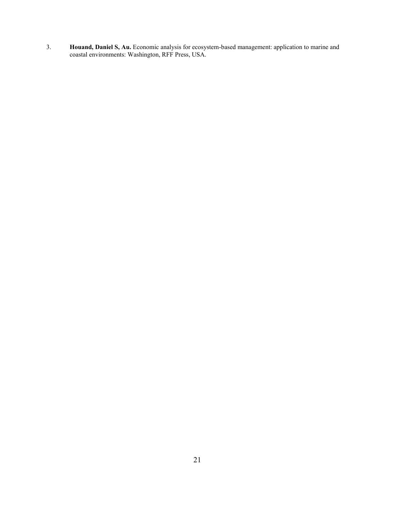3. **Houand, Daniel S, Au.** Economic analysis for ecosystem-based management: application to marine and coastal environments: Washington, RFF Press, USA.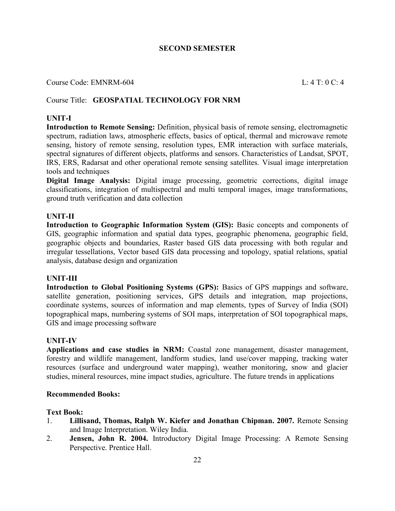## Course Code: EMNRM-604 L: 4 T: 0 C: 4

## Course Title: **GEOSPATIAL TECHNOLOGY FOR NRM**

#### **UNIT-I**

**Introduction to Remote Sensing:** Definition, physical basis of remote sensing, electromagnetic spectrum, radiation laws, atmospheric effects, basics of optical, thermal and microwave remote sensing, history of remote sensing, resolution types, EMR interaction with surface materials, spectral signatures of different objects, platforms and sensors. Characteristics of Landsat, SPOT, IRS, ERS, Radarsat and other operational remote sensing satellites. Visual image interpretation tools and techniques

**Digital Image Analysis:** Digital image processing, geometric corrections, digital image classifications, integration of multispectral and multi temporal images, image transformations, ground truth verification and data collection

#### **UNIT-II**

**Introduction to Geographic Information System (GIS):** Basic concepts and components of GIS, geographic information and spatial data types, geographic phenomena, geographic field, geographic objects and boundaries, Raster based GIS data processing with both regular and irregular tessellations, Vector based GIS data processing and topology, spatial relations, spatial analysis, database design and organization

#### **UNIT-III**

**Introduction to Global Positioning Systems (GPS):** Basics of GPS mappings and software, satellite generation, positioning services, GPS details and integration, map projections, coordinate systems, sources of information and map elements, types of Survey of India (SOI) topographical maps, numbering systems of SOI maps, interpretation of SOI topographical maps, GIS and image processing software

#### **UNIT-IV**

**Applications and case studies in NRM:** Coastal zone management, disaster management, forestry and wildlife management, landform studies, land use/cover mapping, tracking water resources (surface and underground water mapping), weather monitoring, snow and glacier studies, mineral resources, mine impact studies, agriculture. The future trends in applications

#### **Recommended Books:**

#### **Text Book:**

- 1. **Lillisand, Thomas, Ralph W. Kiefer and Jonathan Chipman. 2007.** Remote Sensing and Image Interpretation. Wiley India.
- 2. **Jensen, John R. 2004.** Introductory Digital Image Processing: A Remote Sensing Perspective. Prentice Hall.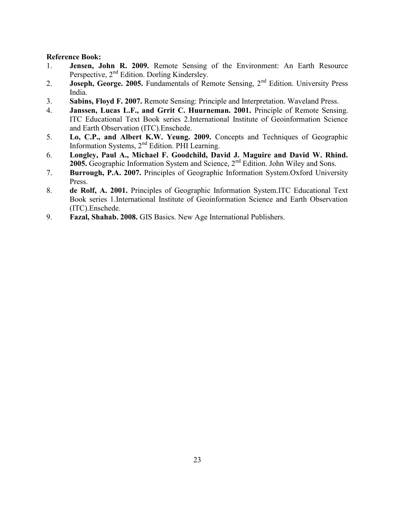- 1. **Jensen, John R. 2009.** Remote Sensing of the Environment: An Earth Resource Perspective, 2<sup>nd</sup> Edition. Dorling Kindersley.
- 2. **Joseph, George. 2005.** Fundamentals of Remote Sensing, 2<sup>nd</sup> Edition. University Press India.
- 3. **Sabins, Floyd F. 2007.** Remote Sensing: Principle and Interpretation. Waveland Press.
- 4. **Janssen, Lucas L.F., and Grrit C. Huurneman. 2001.** Principle of Remote Sensing. ITC Educational Text Book series 2.International Institute of Geoinformation Science and Earth Observation (ITC).Enschede.
- 5. **Lo, C.P., and Albert K.W. Yeung. 2009.** Concepts and Techniques of Geographic Information Systems, 2<sup>nd</sup> Edition. PHI Learning.
- 6. **Longley, Paul A., Michael F. Goodchild, David J. Maguire and David W. Rhind. 2005.** Geographic Information System and Science, 2nd Edition. John Wiley and Sons.
- 7. **Burrough, P.A. 2007.** Principles of Geographic Information System.Oxford University Press.
- 8. **de Rolf, A. 2001.** Principles of Geographic Information System.ITC Educational Text Book series 1.International Institute of Geoinformation Science and Earth Observation (ITC).Enschede.
- 9. **Fazal, Shahab. 2008.** GIS Basics. New Age International Publishers.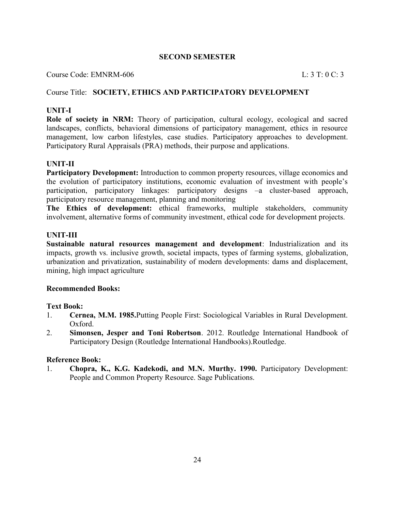#### Course Code: EMNRM-606 L: 3 T: 0 C: 3

#### Course Title: **SOCIETY, ETHICS AND PARTICIPATORY DEVELOPMENT**

## **UNIT-I**

**Role of society in NRM:** Theory of participation, cultural ecology, ecological and sacred landscapes, conflicts, behavioral dimensions of participatory management, ethics in resource management, low carbon lifestyles, case studies. Participatory approaches to development. Participatory Rural Appraisals (PRA) methods, their purpose and applications.

#### **UNIT-II**

Participatory Development: Introduction to common property resources, village economics and the evolution of participatory institutions, economic evaluation of investment with people's participation, participatory linkages: participatory designs –a cluster-based approach, participatory resource management, planning and monitoring

**The Ethics of development:** ethical frameworks, multiple stakeholders, community involvement, alternative forms of community investment, ethical code for development projects.

#### **UNIT-III**

**Sustainable natural resources management and development**: Industrialization and its impacts, growth vs. inclusive growth, societal impacts, types of farming systems, globalization, urbanization and privatization, sustainability of modern developments: dams and displacement, mining, high impact agriculture

#### **Recommended Books:**

#### **Text Book:**

- 1. **Cernea, M.M. 1985.**Putting People First: Sociological Variables in Rural Development. Oxford.
- 2. **Simonsen, Jesper and Toni Robertson**. 2012. Routledge International Handbook of Participatory Design (Routledge International Handbooks).Routledge.

#### **Reference Book:**

1. **Chopra, K., K.G. Kadekodi, and M.N. Murthy. 1990.** Participatory Development: People and Common Property Resource. Sage Publications.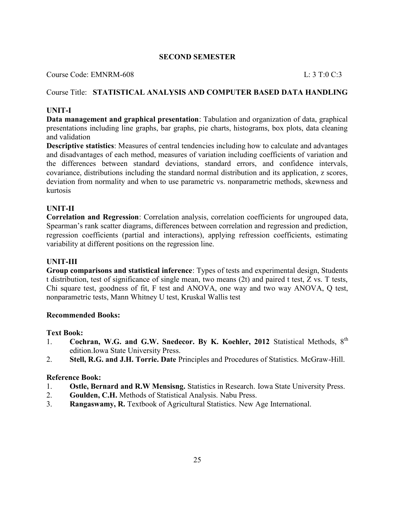Course Code: EMNRM-608 L: 3 T:0 C:3

## Course Title: **STATISTICAL ANALYSIS AND COMPUTER BASED DATA HANDLING**

## **UNIT-I**

**Data management and graphical presentation**: Tabulation and organization of data, graphical presentations including line graphs, bar graphs, pie charts, histograms, box plots, data cleaning and validation

**Descriptive statistics**: Measures of central tendencies including how to calculate and advantages and disadvantages of each method, measures of variation including coefficients of variation and the differences between standard deviations, standard errors, and confidence intervals, covariance, distributions including the standard normal distribution and its application, z scores, deviation from normality and when to use parametric vs. nonparametric methods, skewness and kurtosis

#### **UNIT-II**

**Correlation and Regression**: Correlation analysis, correlation coefficients for ungrouped data, Spearman's rank scatter diagrams, differences between correlation and regression and prediction, regression coefficients (partial and interactions), applying refression coefficients, estimating variability at different positions on the regression line.

#### **UNIT-III**

**Group comparisons and statistical inference**: Types of tests and experimental design, Students t distribution, test of significance of single mean, two means (2t) and paired t test, Z vs. T tests, Chi square test, goodness of fit, F test and ANOVA, one way and two way ANOVA, Q test, nonparametric tests, Mann Whitney U test, Kruskal Wallis test

#### **Recommended Books:**

#### **Text Book:**

- 1. **Cochran, W.G. and G.W. Snedecor. By K. Koehler, 2012** Statistical Methods, 8th edition.Iowa State University Press.
- 2. **Stell, R.G. and J.H. Torrie. Date** Principles and Procedures of Statistics. McGraw-Hill.

- 1. **Ostle, Bernard and R.W Mensisng.** Statistics in Research. Iowa State University Press.
- 2. **Goulden, C.H.** Methods of Statistical Analysis. Nabu Press.
- 3. **Rangaswamy, R.** Textbook of Agricultural Statistics. New Age International.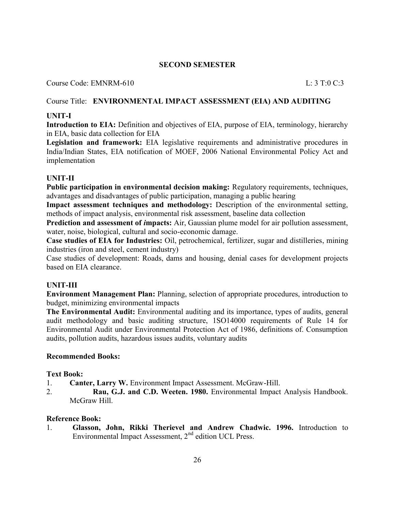## Course Code: EMNRM-610 L: 3 T:0 C:3

## Course Title: **ENVIRONMENTAL IMPACT ASSESSMENT (EIA) AND AUDITING**

## **UNIT-I**

**Introduction to EIA:** Definition and objectives of EIA, purpose of EIA, terminology, hierarchy in EIA, basic data collection for EIA

**Legislation and framework:** EIA legislative requirements and administrative procedures in India/Indian States, EIA notification of MOEF, 2006 National Environmental Policy Act and implementation

## **UNIT-II**

**Public participation in environmental decision making:** Regulatory requirements, techniques, advantages and disadvantages of public participation, managing a public hearing

**Impact assessment techniques and methodology:** Description of the environmental setting, methods of impact analysis, environmental risk assessment, baseline data collection

**Prediction and assessment of** *i***mpacts:** Air, Gaussian plume model for air pollution assessment, water, noise, biological, cultural and socio-economic damage.

**Case studies of EIA for Industries:** Oil, petrochemical, fertilizer, sugar and distilleries, mining industries (iron and steel, cement industry)

Case studies of development: Roads, dams and housing, denial cases for development projects based on EIA clearance.

## **UNIT-III**

**Environment Management Plan:** Planning, selection of appropriate procedures, introduction to budget, minimizing environmental impacts

**The Environmental Audit:** Environmental auditing and its importance, types of audits, general audit methodology and basic auditing structure, 1SO14000 requirements of Rule 14 for Environmental Audit under Environmental Protection Act of 1986, definitions of. Consumption audits, pollution audits, hazardous issues audits, voluntary audits

#### **Recommended Books:**

#### **Text Book:**

- 1. **Canter, Larry W.** Environment Impact Assessment. McGraw-Hill.
- 2. **Rau, G.J. and C.D. Weeten. 1980.** Environmental Impact Analysis Handbook. McGraw Hill

#### **Reference Book:**

1. **Glasson, John, Rikki Therievel and Andrew Chadwic. 1996.** Introduction to Environmental Impact Assessment,  $2<sup>nd</sup>$  edition UCL Press.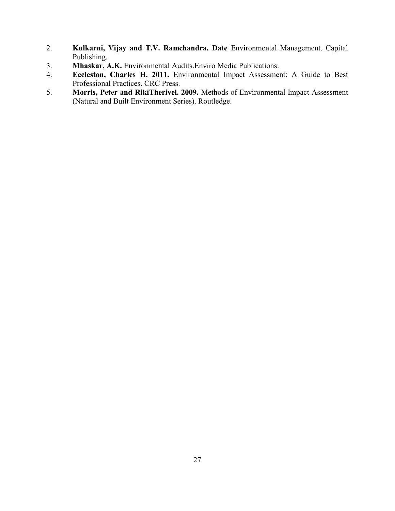- 2. **Kulkarni, Vijay and T.V. Ramchandra. Date** Environmental Management. Capital Publishing.
- 3. **Mhaskar, A.K.** Environmental Audits.Enviro Media Publications.
- 4. **Eccleston, Charles H. 2011.** Environmental Impact Assessment: A Guide to Best Professional Practices. CRC Press.
- 5. **Morris, Peter and RikiTherivel. 2009.** Methods of Environmental Impact Assessment (Natural and Built Environment Series). Routledge.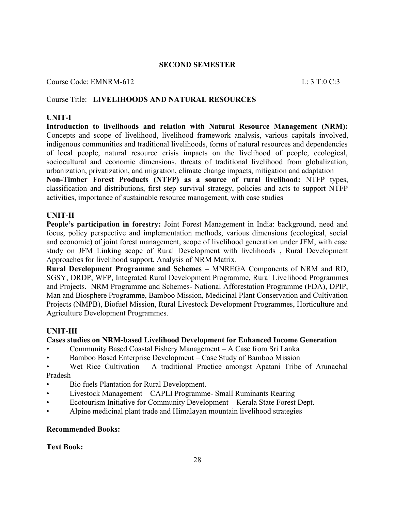#### Course Code: EMNRM-612 L: 3 T:0 C:3

## Course Title: **LIVELIHOODS AND NATURAL RESOURCES**

#### **UNIT-I**

**Introduction to livelihoods and relation with Natural Resource Management (NRM):** Concepts and scope of livelihood, livelihood framework analysis, various capitals involved, indigenous communities and traditional livelihoods, forms of natural resources and dependencies of local people, natural resource crisis impacts on the livelihood of people, ecological, sociocultural and economic dimensions, threats of traditional livelihood from globalization, urbanization, privatization, and migration, climate change impacts, mitigation and adaptation

**Non-Timber Forest Products (NTFP) as a source of rural livelihood:** NTFP types, classification and distributions, first step survival strategy, policies and acts to support NTFP activities, importance of sustainable resource management, with case studies

#### **UNIT-II**

**People's participation in forestry:** Joint Forest Management in India: background, need and focus, policy perspective and implementation methods, various dimensions (ecological, social and economic) of joint forest management, scope of livelihood generation under JFM, with case study on JFM Linking scope of Rural Development with livelihoods , Rural Development Approaches for livelihood support, Analysis of NRM Matrix.

**Rural Development Programme and Schemes –** MNREGA Components of NRM and RD, SGSY, DRDP, WFP, Integrated Rural Development Programme, Rural Livelihood Programmes and Projects. NRM Programme and Schemes- National Afforestation Programme (FDA), DPIP, Man and Biosphere Programme, Bamboo Mission, Medicinal Plant Conservation and Cultivation Projects (NMPB), Biofuel Mission, Rural Livestock Development Programmes, Horticulture and Agriculture Development Programmes.

#### **UNIT-III**

#### **Cases studies on NRM-based Livelihood Development for Enhanced Income Generation**

- Community Based Coastal Fishery Management A Case from Sri Lanka
- Bamboo Based Enterprise Development Case Study of Bamboo Mission
- Wet Rice Cultivation A traditional Practice amongst Apatani Tribe of Arunachal Pradesh
- Bio fuels Plantation for Rural Development.
- Livestock Management CAPLI Programme- Small Ruminants Rearing
- Ecotourism Initiative for Community Development Kerala State Forest Dept.
- Alpine medicinal plant trade and Himalayan mountain livelihood strategies

#### **Recommended Books:**

#### **Text Book:**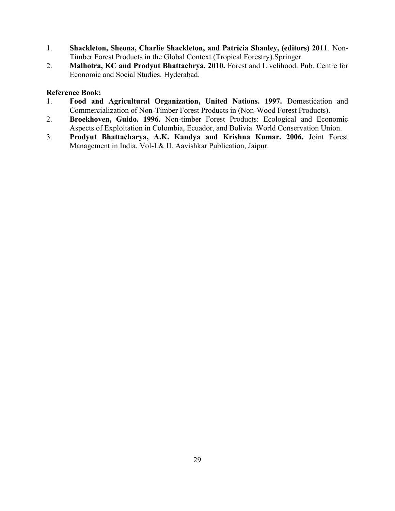- 1. **Shackleton, Sheona, Charlie Shackleton, and Patricia Shanley, (editors) 2011**. Non-Timber Forest Products in the Global Context (Tropical Forestry).Springer.
- 2. **Malhotra, KC and Prodyut Bhattachrya. 2010.** Forest and Livelihood. Pub. Centre for Economic and Social Studies. Hyderabad.

- 1. **Food and Agricultural Organization, United Nations. 1997.** Domestication and Commercialization of Non-Timber Forest Products in (Non-Wood Forest Products).
- 2. **Broekhoven, Guido. 1996.** Non-timber Forest Products: Ecological and Economic Aspects of Exploitation in Colombia, Ecuador, and Bolivia. World Conservation Union.
- 3. **Prodyut Bhattacharya, A.K. Kandya and Krishna Kumar. 2006.** Joint Forest Management in India. Vol-I & II. Aavishkar Publication, Jaipur.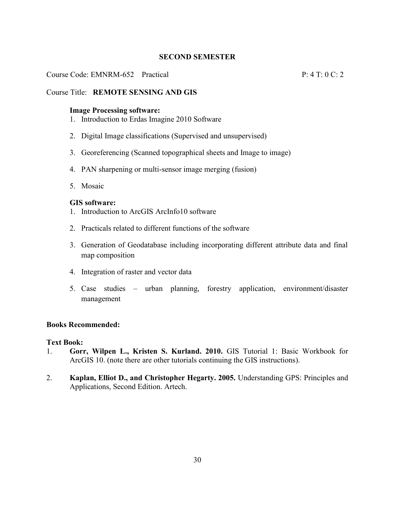## Course Code: EMNRM-652 Practical P: 4 T: 0 C: 2

## Course Title: **REMOTE SENSING AND GIS**

#### **Image Processing software:**

- 1. Introduction to Erdas Imagine 2010 Software
- 2. Digital Image classifications (Supervised and unsupervised)
- 3. Georeferencing (Scanned topographical sheets and Image to image)
- 4. PAN sharpening or multi-sensor image merging (fusion)
- 5. Mosaic

#### **GIS software:**

- 1. Introduction to ArcGIS ArcInfo10 software
- 2. Practicals related to different functions of the software
- 3. Generation of Geodatabase including incorporating different attribute data and final map composition
- 4. Integration of raster and vector data
- 5. Case studies urban planning, forestry application, environment/disaster management

#### **Books Recommended:**

#### **Text Book:**

- 1. **Gorr, Wilpen L., Kristen S. Kurland. 2010.** GIS Tutorial 1: Basic Workbook for ArcGIS 10. (note there are other tutorials continuing the GIS instructions).
- 2. **Kaplan, Elliot D., and Christopher Hegarty. 2005.** Understanding GPS: Principles and Applications, Second Edition. Artech.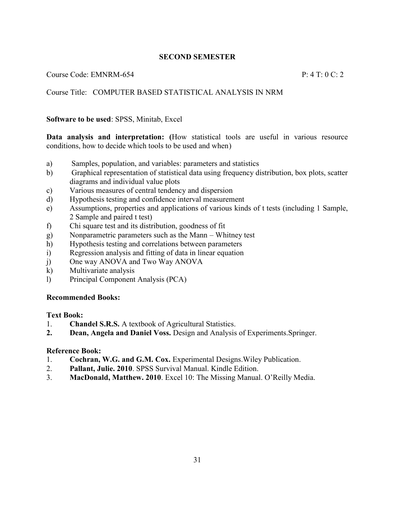Course Code: EMNRM-654 P: 4 T: 0 C: 2

## Course Title: COMPUTER BASED STATISTICAL ANALYSIS IN NRM

#### **Software to be used**: SPSS, Minitab, Excel

**Data analysis and interpretation: (**How statistical tools are useful in various resource conditions, how to decide which tools to be used and when)

- a) Samples, population, and variables: parameters and statistics
- b) Graphical representation of statistical data using frequency distribution, box plots, scatter diagrams and individual value plots
- c) Various measures of central tendency and dispersion
- d) Hypothesis testing and confidence interval measurement
- e) Assumptions, properties and applications of various kinds of t tests (including 1 Sample, 2 Sample and paired t test)
- f) Chi square test and its distribution, goodness of fit
- g) Nonparametric parameters such as the Mann Whitney test
- h) Hypothesis testing and correlations between parameters
- i) Regression analysis and fitting of data in linear equation
- j) One way ANOVA and Two Way ANOVA
- k) Multivariate analysis
- l) Principal Component Analysis (PCA)

#### **Recommended Books:**

#### **Text Book:**

- 1. **Chandel S.R.S.** A textbook of Agricultural Statistics.
- **2. Dean, Angela and Daniel Voss.** Design and Analysis of Experiments.Springer.

- 1. **Cochran, W.G. and G.M. Cox.** Experimental Designs.Wiley Publication.
- 2. **Pallant, Julie. 2010**. SPSS Survival Manual. Kindle Edition.
- 3. **MacDonald, Matthew. 2010**. Excel 10: The Missing Manual. O'Reilly Media.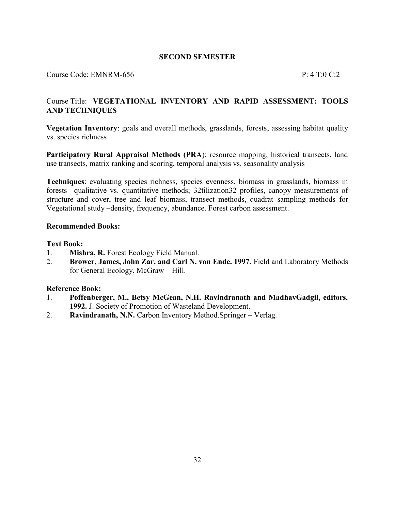#### Course Code: EMNRM-656 P: 4 T:0 C:2

## Course Title: **VEGETATIONAL INVENTORY AND RAPID ASSESSMENT: TOOLS AND TECHNIQUES**

**Vegetation Inventory**: goals and overall methods, grasslands, forests, assessing habitat quality vs. species richness

Participatory Rural Appraisal Methods (PRA): resource mapping, historical transects, land use transects, matrix ranking and scoring, temporal analysis vs. seasonality analysis

**Techniques**: evaluating species richness, species evenness, biomass in grasslands, biomass in forests –qualitative vs. quantitative methods; 32tilization32 profiles, canopy measurements of structure and cover, tree and leaf biomass, transect methods, quadrat sampling methods for Vegetational study –density, frequency, abundance. Forest carbon assessment.

#### **Recommended Books:**

#### **Text Book:**

- 1. **Mishra, R.** Forest Ecology Field Manual.
- 2. **Brower, James, John Zar, and Carl N. von Ende. 1997.** Field and Laboratory Methods for General Ecology. McGraw – Hill.

- 1. **Poffenberger, M., Betsy McGean, N.H. Ravindranath and MadhavGadgil, editors. 1992.** J. Society of Promotion of Wasteland Development.
- 2. **Ravindranath, N.N.** Carbon Inventory Method.Springer Verlag.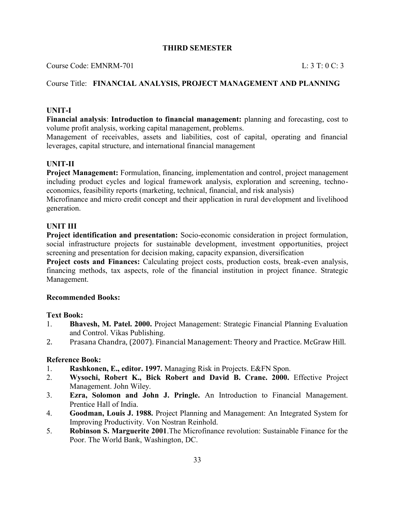Course Code: EMNRM-701 L: 3 T: 0 C: 3

## Course Title: **FINANCIAL ANALYSIS, PROJECT MANAGEMENT AND PLANNING**

## **UNIT-I**

**Financial analysis**: **Introduction to financial management:** planning and forecasting, cost to volume profit analysis, working capital management, problems.

Management of receivables, assets and liabilities, cost of capital, operating and financial leverages, capital structure, and international financial management

#### **UNIT-II**

**Project Management:** Formulation, financing, implementation and control, project management including product cycles and logical framework analysis, exploration and screening, technoeconomics, feasibility reports (marketing, technical, financial, and risk analysis)

Microfinance and micro credit concept and their application in rural development and livelihood generation.

#### **UNIT III**

**Project identification and presentation:** Socio-economic consideration in project formulation, social infrastructure projects for sustainable development, investment opportunities, project screening and presentation for decision making, capacity expansion, diversification

**Project costs and Finances:** Calculating project costs, production costs, break-even analysis, financing methods, tax aspects, role of the financial institution in project finance. Strategic Management.

#### **Recommended Books:**

#### **Text Book:**

- 1. **Bhavesh, M. Patel. 2000.** Project Management: Strategic Financial Planning Evaluation and Control. Vikas Publishing.
- 2. Prasana Chandra, (2007). Financial Management: Theory and Practice. McGraw Hill.

- 1. **Rashkonen, E., editor. 1997.** Managing Risk in Projects. E&FN Spon.
- 2. **Wysochi, Robert K., Bick Robert and David B. Crane. 2000.** Effective Project Management. John Wiley.
- 3. **Ezra, Solomon and John J. Pringle.** An Introduction to Financial Management. Prentice Hall of India.
- 4. **Goodman, Louis J. 1988.** Project Planning and Management: An Integrated System for Improving Productivity. Von Nostran Reinhold.
- 5. **Robinson S. Marguerite 2001**.The Microfinance revolution: Sustainable Finance for the Poor. The World Bank, Washington, DC.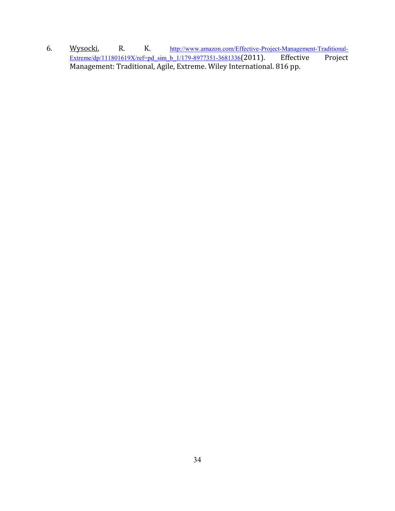6. Wysocki, R. K. http://www.amazon.com/Effective-Project-Management-Traditional-<br>Extreme/dp/111801619X/ref=pd\_sim\_b\_1/179-8977351-3681336(2011). Effective Project  $Extreme/dp/111801619X/ref=pd_sim_b$   $1/179-8977351-3681336(2011).$ Management: Traditional, Agile, Extreme. Wiley International. 816 pp.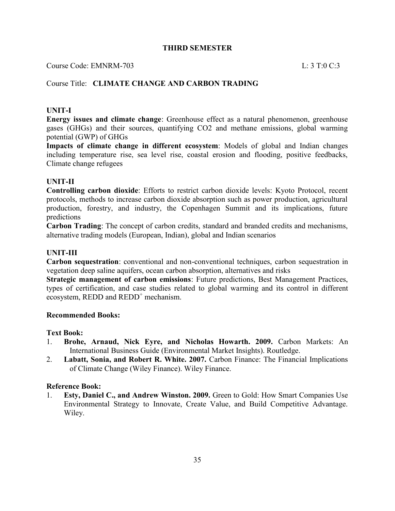#### Course Code: EMNRM-703 L: 3 T:0 C:3

#### Course Title: **CLIMATE CHANGE AND CARBON TRADING**

#### **UNIT-I**

**Energy issues and climate change**: Greenhouse effect as a natural phenomenon, greenhouse gases (GHGs) and their sources, quantifying CO2 and methane emissions, global warming potential (GWP) of GHGs

**Impacts of climate change in different ecosystem**: Models of global and Indian changes including temperature rise, sea level rise, coastal erosion and flooding, positive feedbacks, Climate change refugees

## **UNIT-II**

**Controlling carbon dioxide**: Efforts to restrict carbon dioxide levels: Kyoto Protocol, recent protocols, methods to increase carbon dioxide absorption such as power production, agricultural production, forestry, and industry, the Copenhagen Summit and its implications, future predictions

**Carbon Trading**: The concept of carbon credits, standard and branded credits and mechanisms, alternative trading models (European, Indian), global and Indian scenarios

#### **UNIT-III**

**Carbon sequestration**: conventional and non-conventional techniques, carbon sequestration in vegetation deep saline aquifers, ocean carbon absorption, alternatives and risks

**Strategic management of carbon emissions**: Future predictions, Best Management Practices, types of certification, and case studies related to global warming and its control in different ecosystem, REDD and  $REDD^+$  mechanism.

#### **Recommended Books:**

#### **Text Book:**

- 1. **Brohe, Arnaud, Nick Eyre, and Nicholas Howarth. 2009.** Carbon Markets: An International Business Guide (Environmental Market Insights). Routledge.
- 2. **Labatt, Sonia, and Robert R. White. 2007.** Carbon Finance: The Financial Implications of Climate Change (Wiley Finance). Wiley Finance.

#### **Reference Book:**

1. **Esty, Daniel C., and Andrew Winston. 2009.** Green to Gold: How Smart Companies Use Environmental Strategy to Innovate, Create Value, and Build Competitive Advantage. Wiley.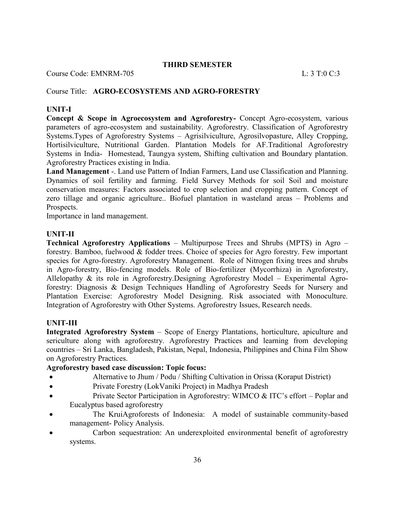Course Code: EMNRM-705 L: 3 T:0 C:3

## Course Title: **AGRO-ECOSYSTEMS AND AGRO-FORESTRY**

## **UNIT-I**

**Concept & Scope in Agroecosystem and Agroforestry-** Concept Agro-ecosystem, various parameters of agro-ecosystem and sustainability. Agroforestry. Classification of Agroforestry Systems.Types of Agroforestry Systems – Agrisilviculture, Agrosilvopasture, Alley Cropping, Hortisilviculture, Nutritional Garden. Plantation Models for AF.Traditional Agroforestry Systems in India- Homestead, Taungya system, Shifting cultivation and Boundary plantation. Agroforestry Practices existing in India.

**Land Management** -. Land use Pattern of Indian Farmers, Land use Classification and Planning. Dynamics of soil fertility and farming. Field Survey Methods for soil Soil and moisture conservation measures: Factors associated to crop selection and cropping pattern. Concept of zero tillage and organic agriculture.. Biofuel plantation in wasteland areas – Problems and Prospects.

Importance in land management.

## **UNIT-II**

**Technical Agroforestry Applications** – Multipurpose Trees and Shrubs (MPTS) in Agro – forestry. Bamboo, fuelwood & fodder trees. Choice of species for Agro forestry. Few important species for Agro-forestry. Agroforestry Management. Role of Nitrogen fixing trees and shrubs in Agro-forestry, Bio-fencing models. Role of Bio-fertilizer (Mycorrhiza) in Agroforestry, Allelopathy & its role in Agroforestry.Designing Agroforestry Model – Experimental Agroforestry: Diagnosis & Design Techniques Handling of Agroforestry Seeds for Nursery and Plantation Exercise: Agroforestry Model Designing. Risk associated with Monoculture. Integration of Agroforestry with Other Systems. Agroforestry Issues, Research needs.

#### **UNIT-III**

**Integrated Agroforestry System** – Scope of Energy Plantations, horticulture, apiculture and sericulture along with agroforestry. Agroforestry Practices and learning from developing countries – Sri Lanka, Bangladesh, Pakistan, Nepal, Indonesia, Philippines and China Film Show on Agroforestry Practices.

## **Agroforestry based case discussion: Topic focus:**

- Alternative to Jhum / Podu / Shifting Cultivation in Orissa (Koraput District)
- Private Forestry (LokVaniki Project) in Madhya Pradesh
- Private Sector Participation in Agroforestry: WIMCO & ITC's effort Poplar and Eucalyptus based agroforestry
- The KruiAgroforests of Indonesia: A model of sustainable community-based management- Policy Analysis.
- Carbon sequestration: An underexploited environmental benefit of agroforestry systems.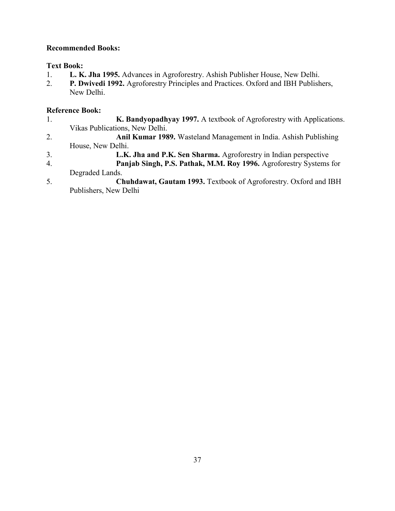## **Recommended Books:**

## **Text Book:**

- 1. **L. K. Jha 1995.** Advances in Agroforestry. Ashish Publisher House, New Delhi.
- 2. **P. Dwivedi 1992.** Agroforestry Principles and Practices. Oxford and IBH Publishers, New Delhi.

- 1. **K. Bandyopadhyay 1997.** A textbook of Agroforestry with Applications. Vikas Publications, New Delhi.
- 2. **Anil Kumar 1989.** Wasteland Management in India. Ashish Publishing House, New Delhi.
- 3. **L.K. Jha and P.K. Sen Sharma.** Agroforestry in Indian perspective
- 4. **Panjab Singh, P.S. Pathak, M.M. Roy 1996.** Agroforestry Systems for Degraded Lands.
- 5. **Chuhdawat, Gautam 1993.** Textbook of Agroforestry. Oxford and IBH Publishers, New Delhi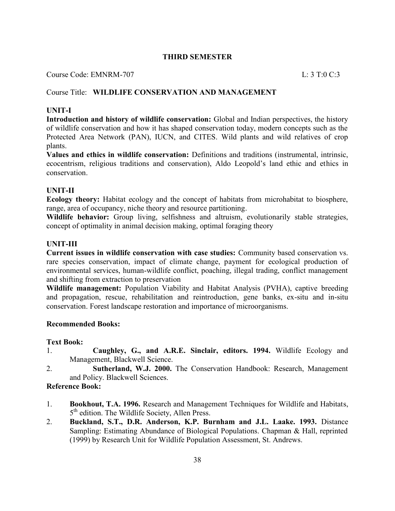Course Code: EMNRM-707 L: 3 T:0 C:3

## Course Title: **WILDLIFE CONSERVATION AND MANAGEMENT**

#### **UNIT-I**

**Introduction and history of wildlife conservation:** Global and Indian perspectives, the history of wildlife conservation and how it has shaped conservation today, modern concepts such as the Protected Area Network (PAN), IUCN, and CITES. Wild plants and wild relatives of crop plants.

**Values and ethics in wildlife conservation:** Definitions and traditions (instrumental, intrinsic, ecocentrism, religious traditions and conservation), Aldo Leopold's land ethic and ethics in conservation.

#### **UNIT-II**

**Ecology theory:** Habitat ecology and the concept of habitats from microhabitat to biosphere, range, area of occupancy, niche theory and resource partitioning.

**Wildlife behavior:** Group living, selfishness and altruism, evolutionarily stable strategies, concept of optimality in animal decision making, optimal foraging theory

#### **UNIT-III**

**Current issues in wildlife conservation with case studies:** Community based conservation vs. rare species conservation, impact of climate change, payment for ecological production of environmental services, human-wildlife conflict, poaching, illegal trading, conflict management and shifting from extraction to preservation

**Wildlife management:** Population Viability and Habitat Analysis (PVHA), captive breeding and propagation, rescue, rehabilitation and reintroduction, gene banks, ex-situ and in-situ conservation. Forest landscape restoration and importance of microorganisms.

#### **Recommended Books:**

#### **Text Book:**

- 1. **Caughley, G., and A.R.E. Sinclair, editors. 1994.** Wildlife Ecology and Management, Blackwell Science.
- 2. **Sutherland, W.J. 2000.** The Conservation Handbook: Research, Management and Policy. Blackwell Sciences.

- 1. **Bookhout, T.A. 1996.** Research and Management Techniques for Wildlife and Habitats, 5<sup>th</sup> edition. The Wildlife Society, Allen Press.
- 2. **Buckland, S.T., D.R. Anderson, K.P. Burnham and J.L. Laake. 1993.** Distance Sampling: Estimating Abundance of Biological Populations. Chapman & Hall, reprinted (1999) by Research Unit for Wildlife Population Assessment, St. Andrews.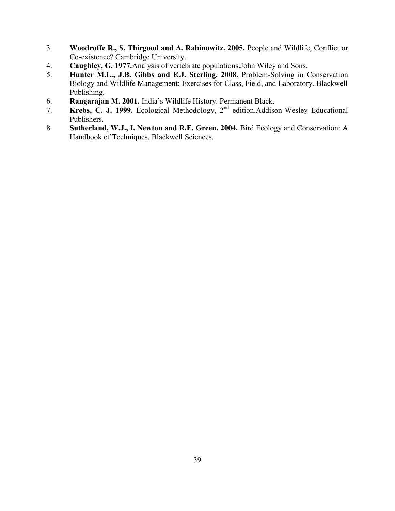- 3. **Woodroffe R., S. Thirgood and A. Rabinowitz. 2005.** People and Wildlife, Conflict or Co-existence? Cambridge University.
- 4. **Caughley, G. 1977.**Analysis of vertebrate populations.John Wiley and Sons.
- 5. **Hunter M.L., J.B. Gibbs and E.J. Sterling. 2008.** Problem-Solving in Conservation Biology and Wildlife Management: Exercises for Class, Field, and Laboratory. Blackwell Publishing.
- 6. **Rangarajan M. 2001.** India's Wildlife History. Permanent Black.
- 7. **Krebs, C. J. 1999.** Ecological Methodology, 2nd edition.Addison-Wesley Educational Publishers.
- 8. **Sutherland, W.J., I. Newton and R.E. Green. 2004.** Bird Ecology and Conservation: A Handbook of Techniques. Blackwell Sciences.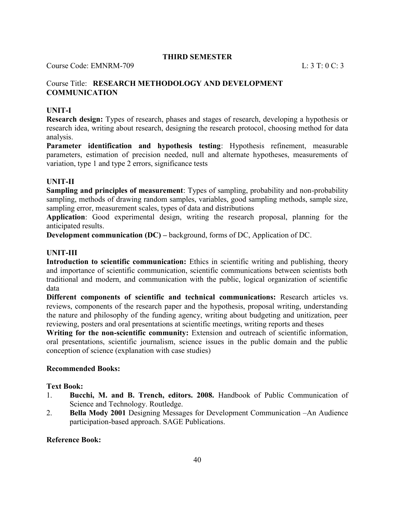Course Code: EMNRM-709 L: 3 T: 0 C: 3

## Course Title: **RESEARCH METHODOLOGY AND DEVELOPMENT COMMUNICATION**

## **UNIT-I**

**Research design:** Types of research, phases and stages of research, developing a hypothesis or research idea, writing about research, designing the research protocol, choosing method for data analysis.

**Parameter identification and hypothesis testing**: Hypothesis refinement, measurable parameters, estimation of precision needed, null and alternate hypotheses, measurements of variation, type 1 and type 2 errors, significance tests

## **UNIT-II**

**Sampling and principles of measurement**: Types of sampling, probability and non-probability sampling, methods of drawing random samples, variables, good sampling methods, sample size, sampling error, measurement scales, types of data and distributions

**Application**: Good experimental design, writing the research proposal, planning for the anticipated results.

**Development communication (DC) –** background, forms of DC, Application of DC.

## **UNIT-III**

**Introduction to scientific communication:** Ethics in scientific writing and publishing, theory and importance of scientific communication, scientific communications between scientists both traditional and modern, and communication with the public, logical organization of scientific data

**Different components of scientific and technical communications:** Research articles vs. reviews, components of the research paper and the hypothesis, proposal writing, understanding the nature and philosophy of the funding agency, writing about budgeting and unitization, peer reviewing, posters and oral presentations at scientific meetings, writing reports and theses

**Writing for the non-scientific community:** Extension and outreach of scientific information, oral presentations, scientific journalism, science issues in the public domain and the public conception of science (explanation with case studies)

#### **Recommended Books:**

#### **Text Book:**

- 1. **Bucchi, M. and B. Trench, editors. 2008.** Handbook of Public Communication of Science and Technology. Routledge.
- 2. **Bella Mody 2001** Designing Messages for Development Communication –An Audience participation-based approach. SAGE Publications.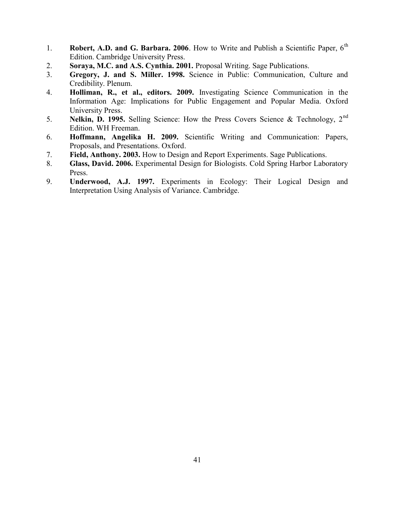- 1. **Robert, A.D. and G. Barbara. 2006**. How to Write and Publish a Scientific Paper. 6<sup>th</sup> Edition. Cambridge University Press.
- 2. **Soraya, M.C. and A.S. Cynthia. 2001.** Proposal Writing. Sage Publications.
- 3. **Gregory, J. and S. Miller. 1998.** Science in Public: Communication, Culture and Credibility. Plenum.
- 4. **Holliman, R., et al., editors. 2009.** Investigating Science Communication in the Information Age: Implications for Public Engagement and Popular Media. Oxford University Press.
- 5. **Nelkin, D. 1995.** Selling Science: How the Press Covers Science & Technology, 2nd Edition. WH Freeman.
- 6. **Hoffmann, Angelika H. 2009.** Scientific Writing and Communication: Papers, Proposals, and Presentations. Oxford.
- 7. **Field, Anthony. 2003.** How to Design and Report Experiments. Sage Publications.
- 8. **Glass, David. 2006.** Experimental Design for Biologists. Cold Spring Harbor Laboratory Press.
- 9. **Underwood, A.J. 1997.** Experiments in Ecology: Their Logical Design and Interpretation Using Analysis of Variance. Cambridge.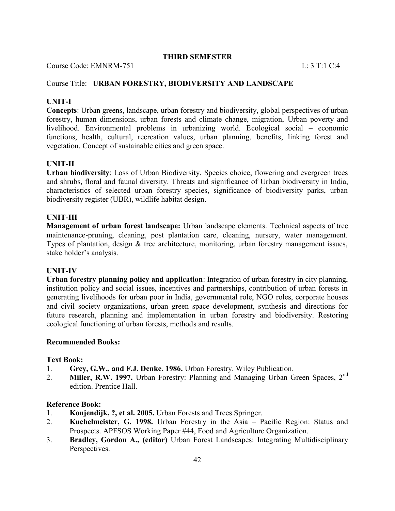Course Code: EMNRM-751 L: 3 T:1 C:4

## Course Title: **URBAN FORESTRY, BIODIVERSITY AND LANDSCAPE**

## **UNIT-I**

**Concepts**: Urban greens, landscape, urban forestry and biodiversity, global perspectives of urban forestry, human dimensions, urban forests and climate change, migration, Urban poverty and livelihood. Environmental problems in urbanizing world. Ecological social – economic functions, health, cultural, recreation values, urban planning, benefits, linking forest and vegetation. Concept of sustainable cities and green space.

## **UNIT-II**

**Urban biodiversity**: Loss of Urban Biodiversity. Species choice, flowering and evergreen trees and shrubs, floral and faunal diversity. Threats and significance of Urban biodiversity in India, characteristics of selected urban forestry species, significance of biodiversity parks, urban biodiversity register (UBR), wildlife habitat design.

#### **UNIT-III**

**Management of urban forest landscape:** Urban landscape elements. Technical aspects of tree maintenance-pruning, cleaning, post plantation care, cleaning, nursery, water management. Types of plantation, design & tree architecture, monitoring, urban forestry management issues, stake holder's analysis.

#### **UNIT-IV**

**Urban forestry planning policy and application**: Integration of urban forestry in city planning, institution policy and social issues, incentives and partnerships, contribution of urban forests in generating livelihoods for urban poor in India, governmental role, NGO roles, corporate houses and civil society organizations, urban green space development, synthesis and directions for future research, planning and implementation in urban forestry and biodiversity. Restoring ecological functioning of urban forests, methods and results.

#### **Recommended Books:**

#### **Text Book:**

- 1. **Grey, G.W., and F.J. Denke. 1986.** Urban Forestry. Wiley Publication.
- 2. **Miller, R.W. 1997.** Urban Forestry: Planning and Managing Urban Green Spaces, 2<sup>nd</sup> edition. Prentice Hall.

- 1. **Konjendijk, ?, et al. 2005.** Urban Forests and Trees.Springer.
- 2. **Kuchelmeister, G. 1998.** Urban Forestry in the Asia Pacific Region: Status and Prospects. APFSOS Working Paper #44, Food and Agriculture Organization.
- 3. **Bradley, Gordon A., (editor)** Urban Forest Landscapes: Integrating Multidisciplinary Perspectives.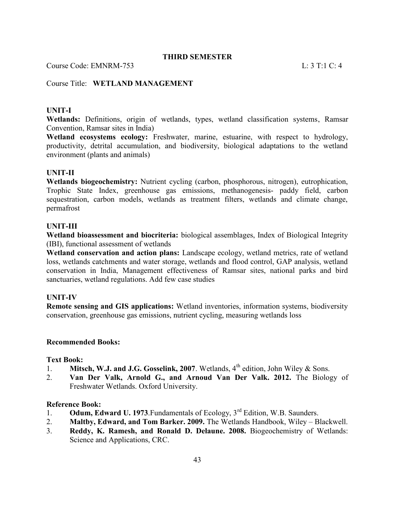Course Code: EMNRM-753 L: 3 T:1 C: 4

## Course Title: **WETLAND MANAGEMENT**

#### **UNIT-I**

**Wetlands:** Definitions, origin of wetlands, types, wetland classification systems, Ramsar Convention, Ramsar sites in India)

**Wetland ecosystems ecology:** Freshwater, marine, estuarine, with respect to hydrology, productivity, detrital accumulation, and biodiversity, biological adaptations to the wetland environment (plants and animals)

#### **UNIT-II**

**Wetlands biogeochemistry:** Nutrient cycling (carbon, phosphorous, nitrogen), eutrophication, Trophic State Index, greenhouse gas emissions, methanogenesis- paddy field, carbon sequestration, carbon models, wetlands as treatment filters, wetlands and climate change, permafrost

#### **UNIT-III**

**Wetland bioassessment and biocriteria:** biological assemblages, Index of Biological Integrity (IBI), functional assessment of wetlands

**Wetland conservation and action plans:** Landscape ecology, wetland metrics, rate of wetland loss, wetlands catchments and water storage, wetlands and flood control, GAP analysis, wetland conservation in India, Management effectiveness of Ramsar sites, national parks and bird sanctuaries, wetland regulations. Add few case studies

#### **UNIT-IV**

**Remote sensing and GIS applications:** Wetland inventories, information systems, biodiversity conservation, greenhouse gas emissions, nutrient cycling, measuring wetlands loss

#### **Recommended Books:**

#### **Text Book:**

- 1. **Mitsch, W.J. and J.G. Gosselink, 2007**. Wetlands,  $4<sup>th</sup>$  edition, John Wiley & Sons.
- 2. **Van Der Valk, Arnold G., and Arnoud Van Der Valk. 2012.** The Biology of Freshwater Wetlands. Oxford University.

- 1. **Odum, Edward U. 1973**.Fundamentals of Ecology, 3rd Edition, W.B. Saunders.
- 2. **Maltby, Edward, and Tom Barker. 2009.** The Wetlands Handbook, Wiley Blackwell.
- 3. **Reddy, K. Ramesh, and Ronald D. Delaune. 2008.** Biogeochemistry of Wetlands: Science and Applications, CRC.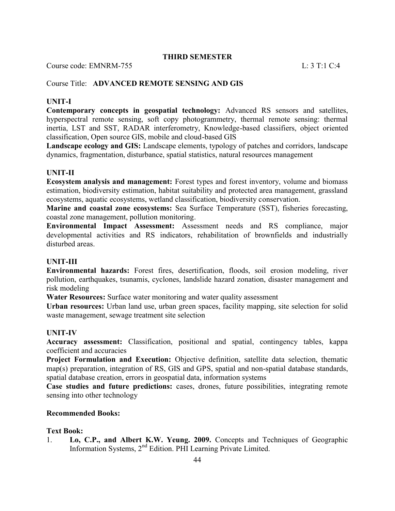Course code: EMNRM-755 L: 3 T:1 C:4

## Course Title: **ADVANCED REMOTE SENSING AND GIS**

## **UNIT-I**

**Contemporary concepts in geospatial technology:** Advanced RS sensors and satellites, hyperspectral remote sensing, soft copy photogrammetry, thermal remote sensing: thermal inertia, LST and SST, RADAR interferometry, Knowledge-based classifiers, object oriented classification, Open source GIS, mobile and cloud-based GIS

**Landscape ecology and GIS:** Landscape elements, typology of patches and corridors, landscape dynamics, fragmentation, disturbance, spatial statistics, natural resources management

## **UNIT-II**

**Ecosystem analysis and management:** Forest types and forest inventory, volume and biomass estimation, biodiversity estimation, habitat suitability and protected area management, grassland ecosystems, aquatic ecosystems, wetland classification, biodiversity conservation.

**Marine and coastal zone ecosystems:** Sea Surface Temperature (SST), fisheries forecasting, coastal zone management, pollution monitoring.

**Environmental Impact Assessment:** Assessment needs and RS compliance, major developmental activities and RS indicators, rehabilitation of brownfields and industrially disturbed areas.

#### **UNIT-III**

**Environmental hazards:** Forest fires, desertification, floods, soil erosion modeling, river pollution, earthquakes, tsunamis, cyclones, landslide hazard zonation, disaster management and risk modeling

**Water Resources:** Surface water monitoring and water quality assessment

**Urban resources:** Urban land use, urban green spaces, facility mapping, site selection for solid waste management, sewage treatment site selection

#### **UNIT-IV**

**Accuracy assessment:** Classification, positional and spatial, contingency tables, kappa coefficient and accuracies

**Project Formulation and Execution:** Objective definition, satellite data selection, thematic map(s) preparation, integration of RS, GIS and GPS, spatial and non-spatial database standards, spatial database creation, errors in geospatial data, information systems

**Case studies and future predictions:** cases, drones, future possibilities, integrating remote sensing into other technology

#### **Recommended Books:**

#### **Text Book:**

1. **Lo, C.P., and Albert K.W. Yeung. 2009.** Concepts and Techniques of Geographic Information Systems, 2nd Edition. PHI Learning Private Limited.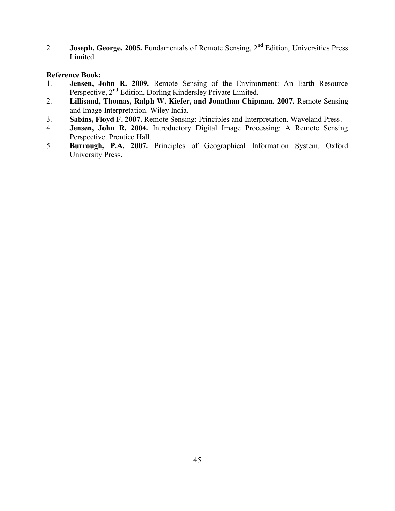2. **Joseph, George. 2005.** Fundamentals of Remote Sensing, 2<sup>nd</sup> Edition, Universities Press Limited.

- 1. **Jensen, John R. 2009.** Remote Sensing of the Environment: An Earth Resource Perspective, 2<sup>nd</sup> Edition, Dorling Kindersley Private Limited.
- 2. **Lillisand, Thomas, Ralph W. Kiefer, and Jonathan Chipman. 2007.** Remote Sensing and Image Interpretation. Wiley India.
- 3. **Sabins, Floyd F. 2007.** Remote Sensing: Principles and Interpretation. Waveland Press.
- 4. **Jensen, John R. 2004.** Introductory Digital Image Processing: A Remote Sensing Perspective. Prentice Hall.
- 5. **Burrough, P.A. 2007.** Principles of Geographical Information System. Oxford University Press.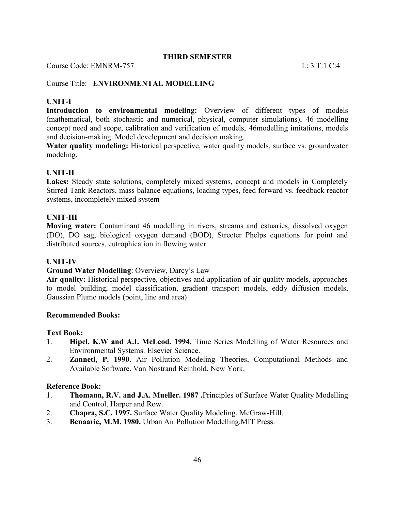Course Code: EMNRM-757 L: 3 T:1 C:4

## Course Title: **ENVIRONMENTAL MODELLING**

## **UNIT-I**

**Introduction to environmental modeling:** Overview of different types of models (mathematical, both stochastic and numerical, physical, computer simulations), 46 modelling concept need and scope, calibration and verification of models, 46modelling imitations, models and decision-making. Model development and decision making.

**Water quality modeling:** Historical perspective, water quality models, surface vs. groundwater modeling.

#### **UNIT-II**

Lakes: Steady state solutions, completely mixed systems, concept and models in Completely Stirred Tank Reactors, mass balance equations, loading types, feed forward vs. feedback reactor systems, incompletely mixed system

#### **UNIT-III**

**Moving water:** Contaminant 46 modelling in rivers, streams and estuaries, dissolved oxygen (DO), DO sag, biological oxygen demand (BOD), Streeter Phelps equations for point and distributed sources, eutrophication in flowing water

#### **UNIT-IV**

#### **Ground Water Modelling**: Overview, Darcy's Law

**Air quality:** Historical perspective, objectives and application of air quality models, approaches to model building, model classification, gradient transport models, eddy diffusion models, Gaussian Plume models (point, line and area)

#### **Recommended Books:**

#### **Text Book:**

- 1. **Hipel, K.W and A.I. McLeod. 1994.** Time Series Modelling of Water Resources and Environmental Systems. Elsevier Science.
- 2. **Zanneti, P. 1990.** Air Pollution Modeling Theories, Computational Methods and Available Software. Van Nostrand Reinhold, New York.

- 1. **Thomann, R.V. and J.A. Mueller. 1987 .**Principles of Surface Water Quality Modelling and Control, Harper and Row.
- 2. **Chapra, S.C. 1997.** Surface Water Quality Modeling, McGraw-Hill.
- 3. **Benaarie, M.M. 1980.** Urban Air Pollution Modelling.MIT Press.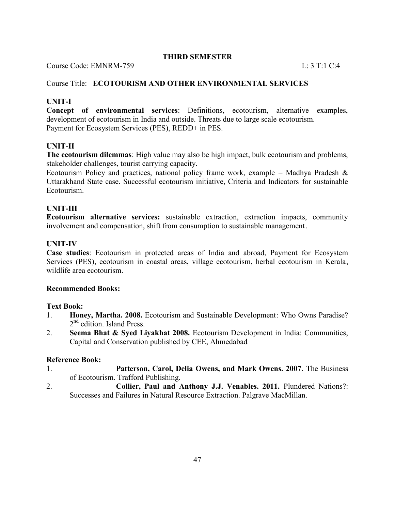Course Code: EMNRM-759 L: 3 T:1 C:4

## Course Title: **ECOTOURISM AND OTHER ENVIRONMENTAL SERVICES**

## **UNIT-I**

**Concept of environmental services**: Definitions, ecotourism, alternative examples, development of ecotourism in India and outside. Threats due to large scale ecotourism. Payment for Ecosystem Services (PES), REDD+ in PES.

## **UNIT-II**

**The ecotourism dilemmas**: High value may also be high impact, bulk ecotourism and problems, stakeholder challenges, tourist carrying capacity.

Ecotourism Policy and practices, national policy frame work, example – Madhya Pradesh  $\&$ Uttarakhand State case. Successful ecotourism initiative, Criteria and Indicators for sustainable Ecotourism.

## **UNIT-III**

**Ecotourism alternative services:** sustainable extraction, extraction impacts, community involvement and compensation, shift from consumption to sustainable management.

## **UNIT-IV**

**Case studies**: Ecotourism in protected areas of India and abroad, Payment for Ecosystem Services (PES), ecotourism in coastal areas, village ecotourism, herbal ecotourism in Kerala, wildlife area ecotourism.

#### **Recommended Books:**

#### **Text Book:**

- 1. **Honey, Martha. 2008.** Ecotourism and Sustainable Development: Who Owns Paradise? 2<sup>nd</sup> edition. Island Press.
- 2. **Seema Bhat & Syed Liyakhat 2008.** Ecotourism Development in India: Communities, Capital and Conservation published by CEE, Ahmedabad

- 1. **Patterson, Carol, Delia Owens, and Mark Owens. 2007**. The Business of Ecotourism. Trafford Publishing.
- 2. **Collier, Paul and Anthony J.J. Venables. 2011.** Plundered Nations?: Successes and Failures in Natural Resource Extraction. Palgrave MacMillan.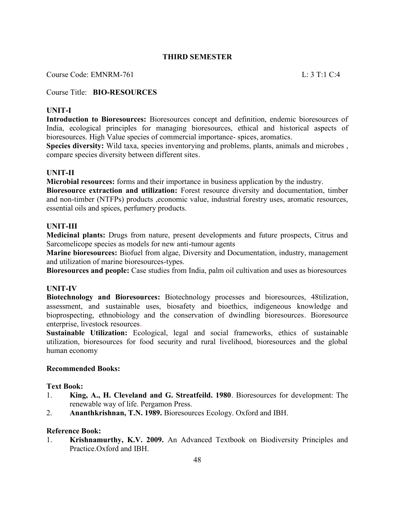Course Code: EMNRM-761 L: 3 T:1 C:4

Course Title: **BIO-RESOURCES**

## **UNIT-I**

**Introduction to Bioresources:** Bioresources concept and definition, endemic bioresources of India, ecological principles for managing bioresources, ethical and historical aspects of bioresources. High Value species of commercial importance- spices, aromatics.

**Species diversity:** Wild taxa, species inventorying and problems, plants, animals and microbes , compare species diversity between different sites.

#### **UNIT-II**

**Microbial resources:** forms and their importance in business application by the industry.

**Bioresource extraction and utilization:** Forest resource diversity and documentation, timber and non-timber (NTFPs) products ,economic value, industrial forestry uses, aromatic resources, essential oils and spices, perfumery products.

#### **UNIT-III**

**Medicinal plants:** Drugs from nature, present developments and future prospects, Citrus and Sarcomelicope species as models for new anti-tumour agents

**Marine bioresources:** Biofuel from algae, Diversity and Documentation, industry, management and utilization of marine bioresources-types.

**Bioresources and people:** Case studies from India, palm oil cultivation and uses as bioresources

#### **UNIT-IV**

**Biotechnology and Bioresources:** Biotechnology processes and bioresources, 48tilization, assessment, and sustainable uses, biosafety and bioethics, indigeneous knowledge and bioprospecting, ethnobiology and the conservation of dwindling bioresources. Bioresource enterprise, livestock resources.

**Sustainable Utilization:** Ecological, legal and social frameworks, ethics of sustainable utilization, bioresources for food security and rural livelihood, bioresources and the global human economy

#### **Recommended Books:**

#### **Text Book:**

- 1. **King, A., H. Cleveland and G. Streatfeild. 1980**. Bioresources for development: The renewable way of life. Pergamon Press.
- 2. **Ananthkrishnan, T.N. 1989.** Bioresources Ecology. Oxford and IBH.

#### **Reference Book:**

1. **Krishnamurthy, K.V. 2009.** An Advanced Textbook on Biodiversity Principles and Practice.Oxford and IBH.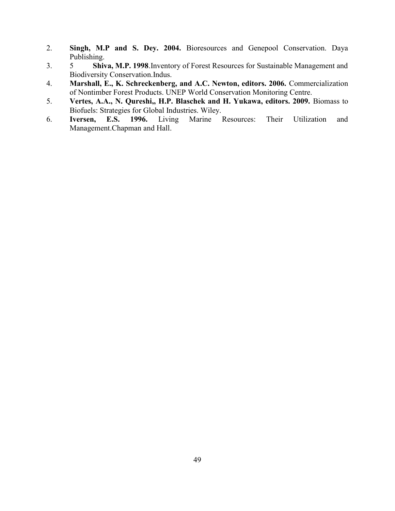- 2. **Singh, M.P and S. Dey. 2004.** Bioresources and Genepool Conservation. Daya Publishing.
- 3. 5 **Shiva, M.P. 1998**.Inventory of Forest Resources for Sustainable Management and Biodiversity Conservation.Indus.
- 4. **Marshall, E., K. Schreckenberg, and A.C. Newton, editors. 2006.** Commercialization of Nontimber Forest Products. UNEP World Conservation Monitoring Centre.
- 5. **Vertes, A.A., N. Qureshi,, H.P. Blaschek and H. Yukawa, editors. 2009.** Biomass to Biofuels: Strategies for Global Industries. Wiley.
- 6. **Iversen, E.S. 1996.** Living Marine Resources: Their Utilization and Management.Chapman and Hall.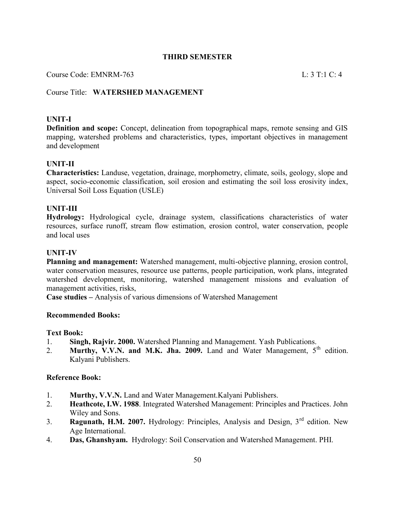Course Code: EMNRM-763 L: 3 T:1 C: 4

## Course Title: **WATERSHED MANAGEMENT**

#### **UNIT-I**

**Definition and scope:** Concept, delineation from topographical maps, remote sensing and GIS mapping, watershed problems and characteristics, types, important objectives in management and development

#### **UNIT-II**

**Characteristics:** Landuse, vegetation, drainage, morphometry, climate, soils, geology, slope and aspect, socio-economic classification, soil erosion and estimating the soil loss erosivity index, Universal Soil Loss Equation (USLE)

#### **UNIT-III**

**Hydrology:** Hydrological cycle, drainage system, classifications characteristics of water resources, surface runoff, stream flow estimation, erosion control, water conservation, people and local uses

#### **UNIT-IV**

**Planning and management:** Watershed management, multi-objective planning, erosion control, water conservation measures, resource use patterns, people participation, work plans, integrated watershed development, monitoring, watershed management missions and evaluation of management activities, risks,

**Case studies –** Analysis of various dimensions of Watershed Management

#### **Recommended Books:**

#### **Text Book:**

- 1. **Singh, Rajvir. 2000.** Watershed Planning and Management. Yash Publications.
- 2. **Murthy, V.V.N. and M.K. Jha. 2009.** Land and Water Management, 5<sup>th</sup> edition. Kalyani Publishers.

- 1. **Murthy, V.V.N.** Land and Water Management.Kalyani Publishers.
- 2. **Heathcote, I.W. 1988**. Integrated Watershed Management: Principles and Practices. John Wiley and Sons.
- 3. **Ragunath, H.M. 2007.** Hydrology: Principles, Analysis and Design, 3rd edition. New Age International.
- 4. **Das, Ghanshyam.** Hydrology: Soil Conservation and Watershed Management. PHI.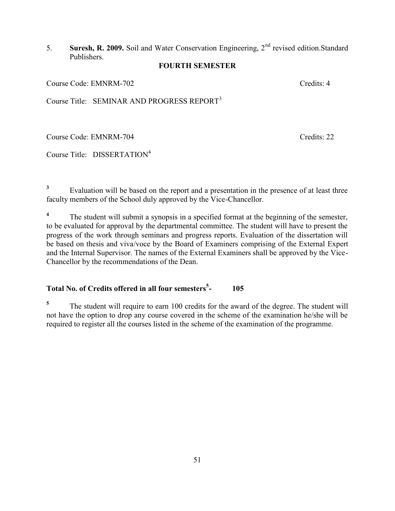## 5. **Suresh, R. 2009.** Soil and Water Conservation Engineering, 2nd revised edition.Standard Publishers.

## **FOURTH SEMESTER**

Course Code: EMNRM-702 Credits: 4

Course Title: SEMINAR AND PROGRESS REPORT<sup>3</sup>

Course Code: EMNRM-704 Credits: 22

Course Title: DISSERTATION<sup>4</sup>

**3** Evaluation will be based on the report and a presentation in the presence of at least three faculty members of the School duly approved by the Vice-Chancellor.

**4** The student will submit a synopsis in a specified format at the beginning of the semester, to be evaluated for approval by the departmental committee. The student will have to present the progress of the work through seminars and progress reports. Evaluation of the dissertation will be based on thesis and viva/voce by the Board of Examiners comprising of the External Expert and the Internal Supervisor. The names of the External Examiners shall be approved by the Vice-Chancellor by the recommendations of the Dean.

#### **Total No. of Credits offered in all four semesters<sup>5</sup> - 105**

**5** The student will require to earn 100 credits for the award of the degree. The student will not have the option to drop any course covered in the scheme of the examination he/she will be required to register all the courses listed in the scheme of the examination of the programme.